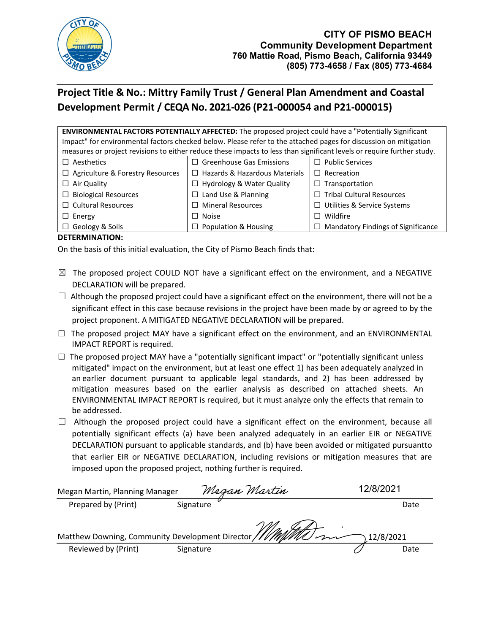

# **Project Title & No.: Mittry Family Trust / General Plan Amendment and Coastal Development Permit / CEQA No. 2021-026 (P21-000054 and P21-000015)**

**ENVIRONMENTAL FACTORS POTENTIALLY AFFECTED:** The proposed project could have a "Potentially Significant Impact" for environmental factors checked below. Please refer to the attached pages for discussion on mitigation measures or project revisions to either reduce these impacts to less than significant levels or require further study.

| $\Box$ Aesthetics                       | $\Box$ Greenhouse Gas Emissions      | $\Box$ Public Services                    |
|-----------------------------------------|--------------------------------------|-------------------------------------------|
| $\Box$ Agriculture & Forestry Resources | $\Box$ Hazards & Hazardous Materials | $\Box$ Recreation                         |
| $\Box$ Air Quality                      | $\Box$ Hydrology & Water Quality     | $\Box$ Transportation                     |
| $\Box$ Biological Resources             | $\Box$ Land Use & Planning           | $\Box$ Tribal Cultural Resources          |
| $\Box$ Cultural Resources               | $\Box$ Mineral Resources             | $\Box$ Utilities & Service Systems        |
| $\Box$ Energy                           | $\Box$ Noise                         | $\Box$ Wildfire                           |
| $\Box$ Geology & Soils                  | $\Box$ Population & Housing          | $\Box$ Mandatory Findings of Significance |

## **DETERMINATION:**

On the basis of this initial evaluation, the City of Pismo Beach finds that:

- $\boxtimes$  The proposed project COULD NOT have a significant effect on the environment, and a NEGATIVE DECLARATION will be prepared.
- $\Box$  Although the proposed project could have a significant effect on the environment, there will not be a significant effect in this case because revisions in the project have been made by or agreed to by the project proponent. A MITIGATED NEGATIVE DECLARATION will be prepared.
- $\Box$  The proposed project MAY have a significant effect on the environment, and an ENVIRONMENTAL IMPACT REPORT is required.
- $\Box$  The proposed project MAY have a "potentially significant impact" or "potentially significant unless mitigated" impact on the environment, but at least one effect 1) has been adequately analyzed in an earlier document pursuant to applicable legal standards, and 2) has been addressed by mitigation measures based on the earlier analysis as described on attached sheets. An ENVIRONMENTAL IMPACT REPORT is required, but it must analyze only the effects that remain to be addressed.
- $\Box$  Although the proposed project could have a significant effect on the environment, because all potentially significant effects (a) have been analyzed adequately in an earlier EIR or NEGATIVE DECLARATION pursuant to applicable standards, and (b) have been avoided or mitigated pursuantto that earlier EIR or NEGATIVE DECLARATION, including revisions or mitigation measures that are imposed upon the proposed project, nothing further is required.

| Megan Martin, Planning Manager |           | Megan Martin | 12/8/2021 |      |  |
|--------------------------------|-----------|--------------|-----------|------|--|
| Prepared by (Print)            | Signature |              |           | Date |  |
| 12/8/2021                      |           |              |           |      |  |
| Reviewed by (Print)            | Signature |              |           | Date |  |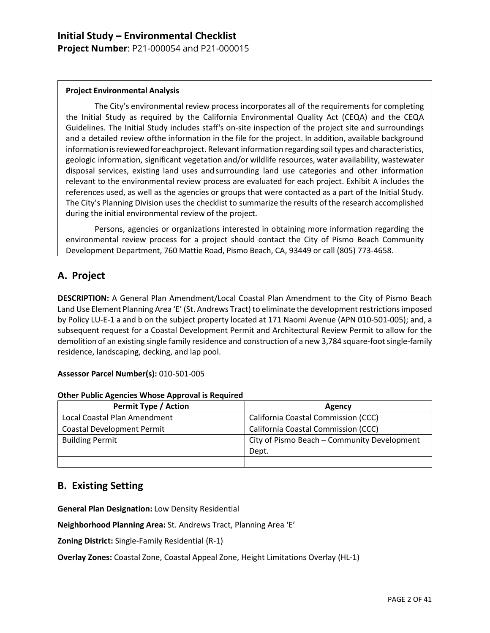**Project Number**: P21-000054 and P21-000015

#### **Project Environmental Analysis**

The City's environmental review process incorporates all of the requirements for completing the Initial Study as required by the California Environmental Quality Act (CEQA) and the CEQA Guidelines. The Initial Study includes staff's on-site inspection of the project site and surroundings and a detailed review ofthe information in the file for the project. In addition, available background information is reviewed for eachproject. Relevant information regarding soil types and characteristics, geologic information, significant vegetation and/or wildlife resources, water availability, wastewater disposal services, existing land uses andsurrounding land use categories and other information relevant to the environmental review process are evaluated for each project. Exhibit A includes the references used, as well as the agencies or groups that were contacted as a part of the Initial Study. The City's Planning Division uses the checklist to summarize the results of the research accomplished during the initial environmental review of the project.

Persons, agencies or organizations interested in obtaining more information regarding the environmental review process for a project should contact the City of Pismo Beach Community Development Department, 760 Mattie Road, Pismo Beach, CA, 93449 or call (805) 773-4658.

## **A. Project**

**DESCRIPTION:** A General Plan Amendment/Local Coastal Plan Amendment to the City of Pismo Beach Land Use Element Planning Area 'E' (St. Andrews Tract) to eliminate the development restrictions imposed by Policy LU-E-1 a and b on the subject property located at 171 Naomi Avenue (APN 010-501-005); and, a subsequent request for a Coastal Development Permit and Architectural Review Permit to allow for the demolition of an existing single family residence and construction of a new 3,784 square-foot single-family residence, landscaping, decking, and lap pool.

#### **Assessor Parcel Number(s):** 010-501-005

#### **Other Public Agencies Whose Approval is Required**

| <b>Permit Type / Action</b>       | Agency                                      |
|-----------------------------------|---------------------------------------------|
| Local Coastal Plan Amendment      | California Coastal Commission (CCC)         |
| <b>Coastal Development Permit</b> | California Coastal Commission (CCC)         |
| <b>Building Permit</b>            | City of Pismo Beach - Community Development |
|                                   | Dept.                                       |
|                                   |                                             |

## **B. Existing Setting**

**General Plan Designation:** Low Density Residential

**Neighborhood Planning Area:** St. Andrews Tract, Planning Area 'E'

**Zoning District:** Single-Family Residential (R-1)

**Overlay Zones:** Coastal Zone, Coastal Appeal Zone, Height Limitations Overlay (HL-1)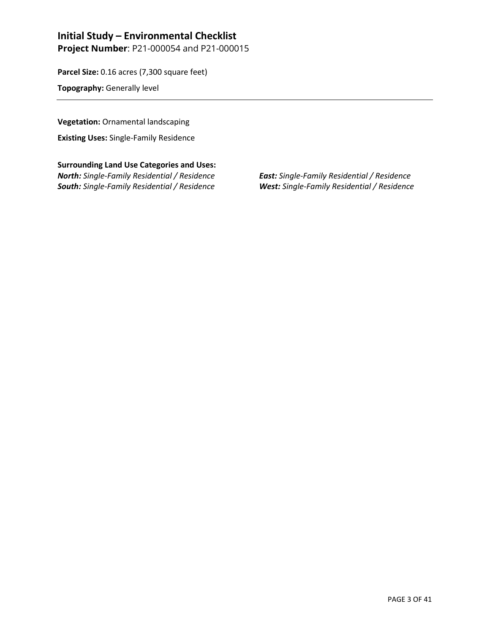**Project Number**: P21-000054 and P21-000015

**Parcel Size:** 0.16 acres (7,300 square feet)

**Topography:** Generally level

**Vegetation:** Ornamental landscaping

**Existing Uses:** Single-Family Residence

**Surrounding Land Use Categories and Uses:** *North: Single-Family Residential / Residence East: Single-Family Residential / Residence South: Single-Family Residential / Residence West: Single-Family Residential / Residence*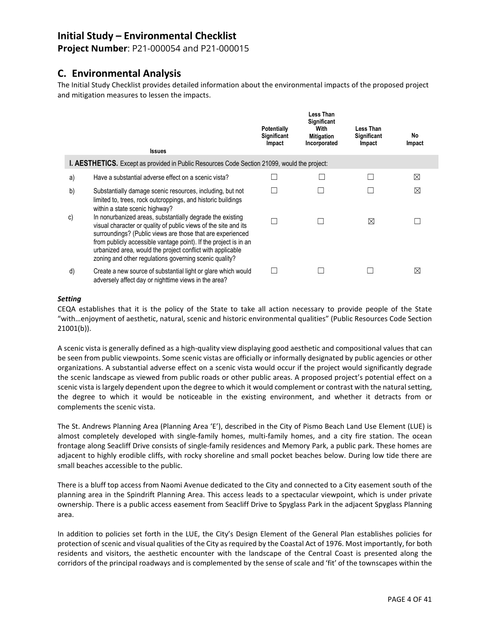**Project Number**: P21-000054 and P21-000015

## **C. Environmental Analysis**

The Initial Study Checklist provides detailed information about the environmental impacts of the proposed project and mitigation measures to lessen the impacts.

|    | <b>Issues</b>                                                                                                                                                                                                                                                                                                                                                                          | <b>Potentially</b><br>Significant<br>Impact | Less Than<br>Significant<br>With<br><b>Mitigation</b><br>Incorporated | Less Than<br><b>Significant</b><br>Impact | No<br>Impact |  |  |
|----|----------------------------------------------------------------------------------------------------------------------------------------------------------------------------------------------------------------------------------------------------------------------------------------------------------------------------------------------------------------------------------------|---------------------------------------------|-----------------------------------------------------------------------|-------------------------------------------|--------------|--|--|
|    | I. AESTHETICS. Except as provided in Public Resources Code Section 21099, would the project:                                                                                                                                                                                                                                                                                           |                                             |                                                                       |                                           |              |  |  |
| a) | Have a substantial adverse effect on a scenic vista?                                                                                                                                                                                                                                                                                                                                   |                                             |                                                                       |                                           | ⊠            |  |  |
| b) | Substantially damage scenic resources, including, but not<br>limited to, trees, rock outcroppings, and historic buildings<br>within a state scenic highway?                                                                                                                                                                                                                            |                                             |                                                                       |                                           | $\boxtimes$  |  |  |
| C) | In nonurbanized areas, substantially degrade the existing<br>visual character or quality of public views of the site and its<br>surroundings? (Public views are those that are experienced<br>from publicly accessible vantage point). If the project is in an<br>urbanized area, would the project conflict with applicable<br>zoning and other regulations governing scenic quality? |                                             |                                                                       | ⊠                                         |              |  |  |
| d) | Create a new source of substantial light or glare which would<br>adversely affect day or nighttime views in the area?                                                                                                                                                                                                                                                                  |                                             |                                                                       |                                           | $\bowtie$    |  |  |

#### *Setting*

CEQA establishes that it is the policy of the State to take all action necessary to provide people of the State "with…enjoyment of aesthetic, natural, scenic and historic environmental qualities" (Public Resources Code Section 21001(b)).

A scenic vista is generally defined as a high-quality view displaying good aesthetic and compositional values that can be seen from public viewpoints. Some scenic vistas are officially or informally designated by public agencies or other organizations. A substantial adverse effect on a scenic vista would occur if the project would significantly degrade the scenic landscape as viewed from public roads or other public areas. A proposed project's potential effect on a scenic vista is largely dependent upon the degree to which it would complement or contrast with the natural setting, the degree to which it would be noticeable in the existing environment, and whether it detracts from or complements the scenic vista.

The St. Andrews Planning Area (Planning Area 'E'), described in the City of Pismo Beach Land Use Element (LUE) is almost completely developed with single-family homes, multi-family homes, and a city fire station. The ocean frontage along Seacliff Drive consists of single-family residences and Memory Park, a public park. These homes are adjacent to highly erodible cliffs, with rocky shoreline and small pocket beaches below. During low tide there are small beaches accessible to the public.

There is a bluff top access from Naomi Avenue dedicated to the City and connected to a City easement south of the planning area in the Spindrift Planning Area. This access leads to a spectacular viewpoint, which is under private ownership. There is a public access easement from Seacliff Drive to Spyglass Park in the adjacent Spyglass Planning area.

In addition to policies set forth in the LUE, the City's Design Element of the General Plan establishes policies for protection of scenic and visual qualities of the City as required by the Coastal Act of 1976. Most importantly, for both residents and visitors, the aesthetic encounter with the landscape of the Central Coast is presented along the corridors of the principal roadways and is complemented by the sense of scale and 'fit' of the townscapes within the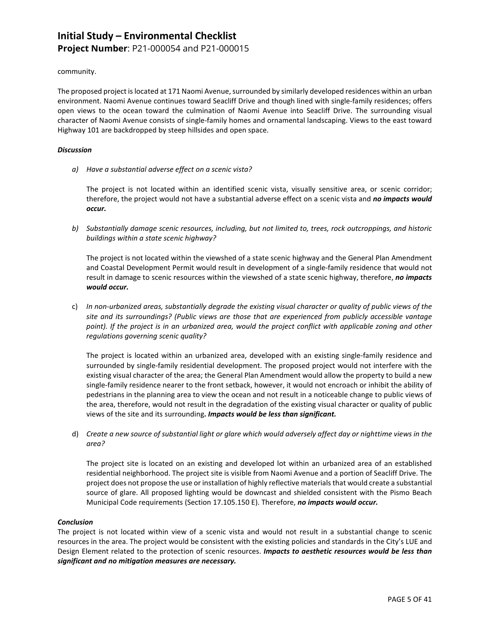## **Initial Study – Environmental Checklist Project Number**: P21-000054 and P21-000015

community.

The proposed project is located at 171 Naomi Avenue, surrounded by similarly developed residences within an urban environment. Naomi Avenue continues toward Seacliff Drive and though lined with single-family residences; offers open views to the ocean toward the culmination of Naomi Avenue into Seacliff Drive. The surrounding visual character of Naomi Avenue consists of single-family homes and ornamental landscaping. Views to the east toward Highway 101 are backdropped by steep hillsides and open space.

#### *Discussion*

*a) Have a substantial adverse effect on a scenic vista?*

The project is not located within an identified scenic vista, visually sensitive area, or scenic corridor; therefore, the project would not have a substantial adverse effect on a scenic vista and *no impacts would occur.*

*b) Substantially damage scenic resources, including, but not limited to, trees, rock outcroppings, and historic buildings within a state scenic highway?*

The project is not located within the viewshed of a state scenic highway and the General Plan Amendment and Coastal Development Permit would result in development of a single-family residence that would not result in damage to scenic resources within the viewshed of a state scenic highway, therefore, *no impacts would occur.*

c) *In non-urbanized areas, substantially degrade the existing visual character or quality of public views of the site and its surroundings? (Public views are those that are experienced from publicly accessible vantage*  point). If the project is in an urbanized area, would the project conflict with applicable zoning and other *regulations governing scenic quality?*

The project is located within an urbanized area, developed with an existing single-family residence and surrounded by single-family residential development. The proposed project would not interfere with the existing visual character of the area; the General Plan Amendment would allow the property to build a new single-family residence nearer to the front setback, however, it would not encroach or inhibit the ability of pedestrians in the planning area to view the ocean and not result in a noticeable change to public views of the area, therefore, would not result in the degradation of the existing visual character or quality of public views of the site and its surrounding**.** *Impacts would be less than significant.*

d) *Create a new source of substantial light or glare which would adversely affect day or nighttime views in the area?*

The project site is located on an existing and developed lot within an urbanized area of an established residential neighborhood. The project site is visible from Naomi Avenue and a portion of Seacliff Drive. The project does not propose the use or installation of highly reflective materials that would create a substantial source of glare. All proposed lighting would be downcast and shielded consistent with the Pismo Beach Municipal Code requirements (Section 17.105.150 E). Therefore, *no impacts would occur.*

#### *Conclusion*

The project is not located within view of a scenic vista and would not result in a substantial change to scenic resources in the area. The project would be consistent with the existing policies and standards in the City's LUE and Design Element related to the protection of scenic resources. *Impacts to aesthetic resources would be less than significant and no mitigation measures are necessary.*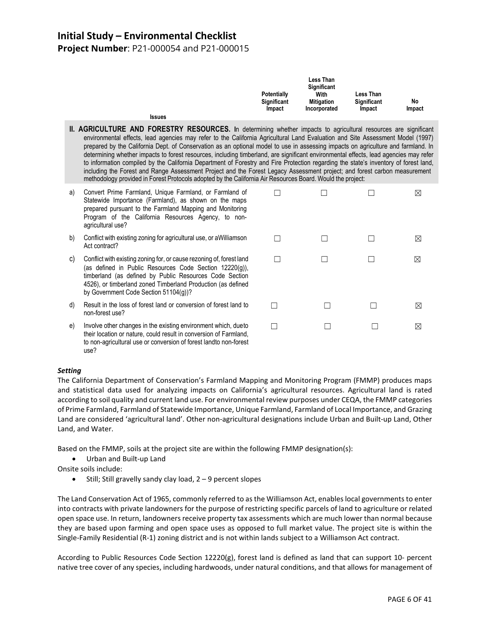**Project Number**: P21-000054 and P21-000015

|               | <b>Potentially</b><br>Significant<br><b>Impact</b> | <b>Less Than</b><br>Significant<br>With<br><b>Mitigation</b><br>Incorporated | <b>Less Than</b><br>Significant<br>Impact | No<br>Impact |
|---------------|----------------------------------------------------|------------------------------------------------------------------------------|-------------------------------------------|--------------|
| <b>Issues</b> |                                                    |                                                                              |                                           |              |

- **II. AGRICULTURE AND FORESTRY RESOURCES.** In determining whether impacts to agricultural resources are significant environmental effects, lead agencies may refer to the California Agricultural Land Evaluation and Site Assessment Model (1997) prepared by the California Dept. of Conservation as an optional model to use in assessing impacts on agriculture and farmland. In determining whether impacts to forest resources, including timberland, are significant environmental effects, lead agencies may refer to information compiled by the California Department of Forestry and Fire Protection regarding the state's inventory of forest land, including the Forest and Range Assessment Project and the Forest Legacy Assessment project; and forest carbon measurement methodology provided in Forest Protocols adopted by the California Air Resources Board. Would the project:
- a) Convert Prime Farmland, Unique Farmland, or Farmland of Statewide Importance (Farmland), as shown on the maps prepared pursuant to the Farmland Mapping and Monitoring Program of the California Resources Agency, to nonagricultural use?
- b) Conflict with existing zoning for agricultural use, or aWilliamson Act contract?
- c) Conflict with existing zoning for, or cause rezoning of, forest land (as defined in Public Resources Code Section 12220(g)), timberland (as defined by Public Resources Code Section 4526), or timberland zoned Timberland Production (as defined by Government Code Section 51104(g))?
- d) Result in the loss of forest land or conversion of forest land to non-forest use?
- e) Involve other changes in the existing environment which, due to their location or nature, could result in conversion of Farmland, to non-agricultural use or conversion of forest landto non-forest use?

| П      | П      | П             | ⊠           |
|--------|--------|---------------|-------------|
|        |        |               |             |
| $\Box$ | $\Box$ | $\Box$        | $\boxtimes$ |
| $\Box$ | $\Box$ | $\Box$        | $\boxtimes$ |
|        |        |               |             |
| $\Box$ | $\Box$ | $\Box$        | $\boxtimes$ |
| П      | П      | $\mathcal{L}$ | ⊠           |
|        |        |               |             |

#### *Setting*

The California Department of Conservation's Farmland Mapping and Monitoring Program (FMMP) produces maps and statistical data used for analyzing impacts on California's agricultural resources. Agricultural land is rated according to soil quality and current land use. For environmental review purposes under CEQA, the FMMP categories of Prime Farmland, Farmland of Statewide Importance, Unique Farmland, Farmland of Local Importance, and Grazing Land are considered 'agricultural land'. Other non-agricultural designations include Urban and Built-up Land, Other Land, and Water.

Based on the FMMP, soils at the project site are within the following FMMP designation(s):

- Urban and Built-up Land
- Onsite soils include:
	- Still; Still gravelly sandy clay load, 2 9 percent slopes

The Land Conservation Act of 1965, commonly referred to as the Williamson Act, enables local governments to enter into contracts with private landowners for the purpose of restricting specific parcels of land to agriculture or related open space use. In return, landowners receive property tax assessments which are much lower than normal because they are based upon farming and open space uses as opposed to full market value. The project site is within the Single-Family Residential (R-1) zoning district and is not within lands subject to a Williamson Act contract.

According to Public Resources Code Section 12220(g), forest land is defined as land that can support 10- percent native tree cover of any species, including hardwoods, under natural conditions, and that allows for management of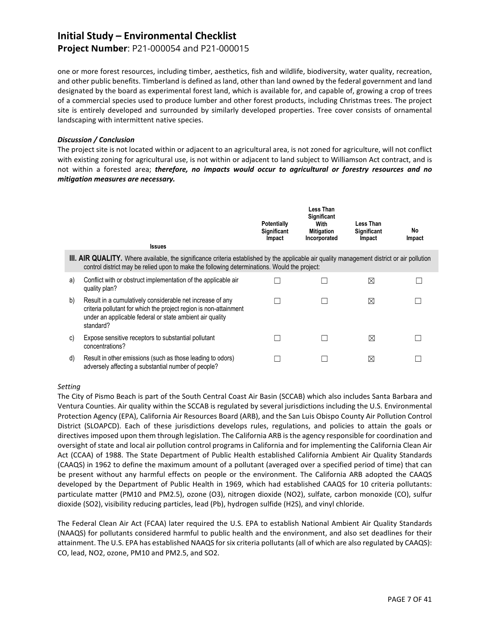### **Project Number**: P21-000054 and P21-000015

one or more forest resources, including timber, aesthetics, fish and wildlife, biodiversity, water quality, recreation, and other public benefits. Timberland is defined as land, other than land owned by the federal government and land designated by the board as experimental forest land, which is available for, and capable of, growing a crop of trees of a commercial species used to produce lumber and other forest products, including Christmas trees. The project site is entirely developed and surrounded by similarly developed properties. Tree cover consists of ornamental landscaping with intermittent native species.

#### *Discussion / Conclusion*

The project site is not located within or adjacent to an agricultural area, is not zoned for agriculture, will not conflict with existing zoning for agricultural use, is not within or adjacent to land subject to Williamson Act contract, and is not within a forested area; *therefore, no impacts would occur to agricultural or forestry resources and no mitigation measures are necessary.*

|    | <b>Issues</b>                                                                                                                                                                                                                                      | <b>Potentially</b><br><b>Significant</b><br>Impact | <b>Less Than</b><br><b>Significant</b><br>With<br><b>Mitigation</b><br>Incorporated | Less Than<br><b>Significant</b><br>Impact | No.<br>Impact |
|----|----------------------------------------------------------------------------------------------------------------------------------------------------------------------------------------------------------------------------------------------------|----------------------------------------------------|-------------------------------------------------------------------------------------|-------------------------------------------|---------------|
|    | <b>III. AIR QUALITY.</b> Where available, the significance criteria established by the applicable air quality management district or air pollution<br>control district may be relied upon to make the following determinations. Would the project: |                                                    |                                                                                     |                                           |               |
| a) | Conflict with or obstruct implementation of the applicable air<br>quality plan?                                                                                                                                                                    |                                                    |                                                                                     | ⊠                                         |               |
| b) | Result in a cumulatively considerable net increase of any<br>criteria pollutant for which the project region is non-attainment<br>under an applicable federal or state ambient air quality<br>standard?                                            |                                                    |                                                                                     | ⊠                                         |               |
| C) | Expose sensitive receptors to substantial pollutant<br>concentrations?                                                                                                                                                                             |                                                    |                                                                                     | ⊠                                         |               |
| d) | Result in other emissions (such as those leading to odors)<br>adversely affecting a substantial number of people?                                                                                                                                  |                                                    |                                                                                     | ⊠                                         |               |

#### *Setting*

The City of Pismo Beach is part of the South Central Coast Air Basin (SCCAB) which also includes Santa Barbara and Ventura Counties. Air quality within the SCCAB is regulated by several jurisdictions including the U.S. Environmental Protection Agency (EPA), California Air Resources Board (ARB), and the San Luis Obispo County Air Pollution Control District (SLOAPCD). Each of these jurisdictions develops rules, regulations, and policies to attain the goals or directives imposed upon them through legislation. The California ARB is the agency responsible for coordination and oversight of state and local air pollution control programs in California and for implementing the California Clean Air Act (CCAA) of 1988. The State Department of Public Health established California Ambient Air Quality Standards (CAAQS) in 1962 to define the maximum amount of a pollutant (averaged over a specified period of time) that can be present without any harmful effects on people or the environment. The California ARB adopted the CAAQS developed by the Department of Public Health in 1969, which had established CAAQS for 10 criteria pollutants: particulate matter (PM10 and PM2.5), ozone (O3), nitrogen dioxide (NO2), sulfate, carbon monoxide (CO), sulfur dioxide (SO2), visibility reducing particles, lead (Pb), hydrogen sulfide (H2S), and vinyl chloride.

The Federal Clean Air Act (FCAA) later required the U.S. EPA to establish National Ambient Air Quality Standards (NAAQS) for pollutants considered harmful to public health and the environment, and also set deadlines for their attainment. The U.S. EPA has established NAAQS for six criteria pollutants (all of which are also regulated by CAAQS): CO, lead, NO2, ozone, PM10 and PM2.5, and SO2.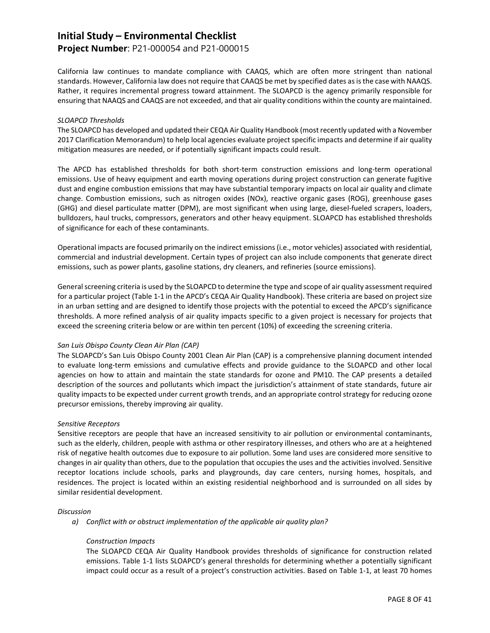### **Project Number**: P21-000054 and P21-000015

California law continues to mandate compliance with CAAQS, which are often more stringent than national standards. However, California law does not require that CAAQS be met by specified dates as is the case with NAAQS. Rather, it requires incremental progress toward attainment. The SLOAPCD is the agency primarily responsible for ensuring that NAAQS and CAAQS are not exceeded, and that air quality conditions within the county are maintained.

#### *SLOAPCD Thresholds*

The SLOAPCD has developed and updated their CEQA Air Quality Handbook (most recently updated with a November 2017 Clarification Memorandum) to help local agencies evaluate project specific impacts and determine if air quality mitigation measures are needed, or if potentially significant impacts could result.

The APCD has established thresholds for both short-term construction emissions and long-term operational emissions. Use of heavy equipment and earth moving operations during project construction can generate fugitive dust and engine combustion emissions that may have substantial temporary impacts on local air quality and climate change. Combustion emissions, such as nitrogen oxides (NOx), reactive organic gases (ROG), greenhouse gases (GHG) and diesel particulate matter (DPM), are most significant when using large, diesel-fueled scrapers, loaders, bulldozers, haul trucks, compressors, generators and other heavy equipment. SLOAPCD has established thresholds of significance for each of these contaminants.

Operational impacts are focused primarily on the indirect emissions (i.e., motor vehicles) associated with residential, commercial and industrial development. Certain types of project can also include components that generate direct emissions, such as power plants, gasoline stations, dry cleaners, and refineries (source emissions).

General screening criteria is used by the SLOAPCD to determine the type and scope of air quality assessment required for a particular project (Table 1-1 in the APCD's CEQA Air Quality Handbook). These criteria are based on project size in an urban setting and are designed to identify those projects with the potential to exceed the APCD's significance thresholds. A more refined analysis of air quality impacts specific to a given project is necessary for projects that exceed the screening criteria below or are within ten percent (10%) of exceeding the screening criteria.

#### *San Luis Obispo County Clean Air Plan (CAP)*

The SLOAPCD's San Luis Obispo County 2001 Clean Air Plan (CAP) is a comprehensive planning document intended to evaluate long-term emissions and cumulative effects and provide guidance to the SLOAPCD and other local agencies on how to attain and maintain the state standards for ozone and PM10. The CAP presents a detailed description of the sources and pollutants which impact the jurisdiction's attainment of state standards, future air quality impacts to be expected under current growth trends, and an appropriate control strategy for reducing ozone precursor emissions, thereby improving air quality.

#### *Sensitive Receptors*

Sensitive receptors are people that have an increased sensitivity to air pollution or environmental contaminants, such as the elderly, children, people with asthma or other respiratory illnesses, and others who are at a heightened risk of negative health outcomes due to exposure to air pollution. Some land uses are considered more sensitive to changes in air quality than others, due to the population that occupies the uses and the activities involved. Sensitive receptor locations include schools, parks and playgrounds, day care centers, nursing homes, hospitals, and residences. The project is located within an existing residential neighborhood and is surrounded on all sides by similar residential development.

#### *Discussion*

*a) Conflict with or obstruct implementation of the applicable air quality plan?*

#### *Construction Impacts*

The SLOAPCD CEQA Air Quality Handbook provides thresholds of significance for construction related emissions. Table 1-1 lists SLOAPCD's general thresholds for determining whether a potentially significant impact could occur as a result of a project's construction activities. Based on Table 1-1, at least 70 homes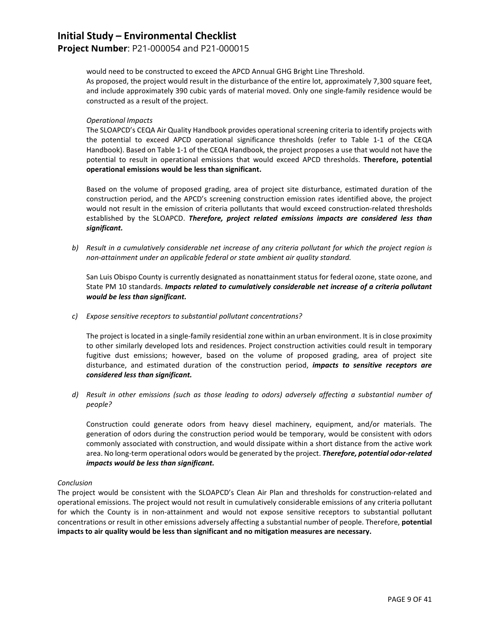### **Project Number**: P21-000054 and P21-000015

would need to be constructed to exceed the APCD Annual GHG Bright Line Threshold.

As proposed, the project would result in the disturbance of the entire lot, approximately 7,300 square feet, and include approximately 390 cubic yards of material moved. Only one single-family residence would be constructed as a result of the project.

#### *Operational Impacts*

The SLOAPCD's CEQA Air Quality Handbook provides operational screening criteria to identify projects with the potential to exceed APCD operational significance thresholds (refer to Table 1-1 of the CEQA Handbook). Based on Table 1-1 of the CEQA Handbook, the project proposes a use that would not have the potential to result in operational emissions that would exceed APCD thresholds. **Therefore, potential operational emissions would be less than significant.**

Based on the volume of proposed grading, area of project site disturbance, estimated duration of the construction period, and the APCD's screening construction emission rates identified above, the project would not result in the emission of criteria pollutants that would exceed construction-related thresholds established by the SLOAPCD. *Therefore, project related emissions impacts are considered less than significant.*

*b) Result in a cumulatively considerable net increase of any criteria pollutant for which the project region is non-attainment under an applicable federal or state ambient air quality standard.*

San Luis Obispo County is currently designated as nonattainment status for federal ozone, state ozone, and State PM 10 standards. *Impacts related to cumulatively considerable net increase of a criteria pollutant would be less than significant.*

*c) Expose sensitive receptors to substantial pollutant concentrations?*

The project is located in a single-family residential zone within an urban environment. It is in close proximity to other similarly developed lots and residences. Project construction activities could result in temporary fugitive dust emissions; however, based on the volume of proposed grading, area of project site disturbance, and estimated duration of the construction period, *impacts to sensitive receptors are considered less than significant.*

*d) Result in other emissions (such as those leading to odors) adversely affecting a substantial number of people?*

Construction could generate odors from heavy diesel machinery, equipment, and/or materials. The generation of odors during the construction period would be temporary, would be consistent with odors commonly associated with construction, and would dissipate within a short distance from the active work area. No long-term operational odors would be generated by the project. *Therefore, potential odor-related impacts would be less than significant.*

#### *Conclusion*

The project would be consistent with the SLOAPCD's Clean Air Plan and thresholds for construction-related and operational emissions. The project would not result in cumulatively considerable emissions of any criteria pollutant for which the County is in non-attainment and would not expose sensitive receptors to substantial pollutant concentrations or result in other emissions adversely affecting a substantial number of people. Therefore, **potential impacts to air quality would be less than significant and no mitigation measures are necessary.**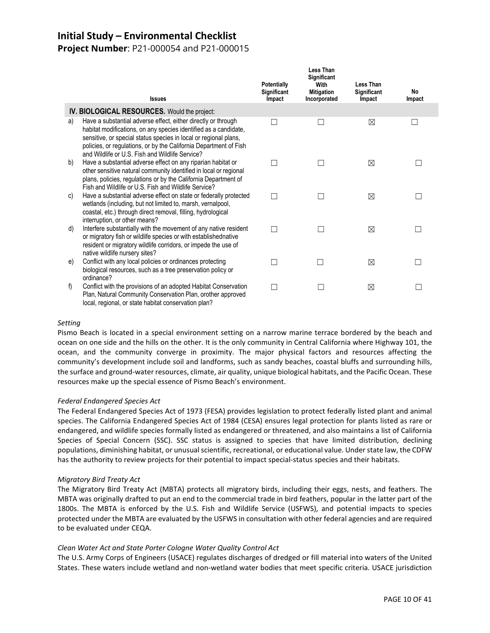**Project Number**: P21-000054 and P21-000015

|    | <b>Issues</b>                                                                                                                                                                                                                                                                                                                 | <b>Potentially</b><br>Significant<br>Impact | Less Than<br><b>Significant</b><br>With<br><b>Mitigation</b><br>Incorporated | <b>Less Than</b><br>Significant<br>Impact | No.<br>Impact |
|----|-------------------------------------------------------------------------------------------------------------------------------------------------------------------------------------------------------------------------------------------------------------------------------------------------------------------------------|---------------------------------------------|------------------------------------------------------------------------------|-------------------------------------------|---------------|
|    | IV. BIOLOGICAL RESOURCES. Would the project:                                                                                                                                                                                                                                                                                  |                                             |                                                                              |                                           |               |
| a) | Have a substantial adverse effect, either directly or through<br>habitat modifications, on any species identified as a candidate,<br>sensitive, or special status species in local or regional plans,<br>policies, or regulations, or by the California Department of Fish<br>and Wildlife or U.S. Fish and Wildlife Service? |                                             |                                                                              | ⊠                                         |               |
| b) | Have a substantial adverse effect on any riparian habitat or<br>other sensitive natural community identified in local or regional<br>plans, policies, regulations or by the California Department of<br>Fish and Wildlife or U.S. Fish and Wildlife Service?                                                                  |                                             |                                                                              | ⊠                                         |               |
| C) | Have a substantial adverse effect on state or federally protected<br>wetlands (including, but not limited to, marsh, vernalpool,<br>coastal, etc.) through direct removal, filling, hydrological<br>interruption, or other means?                                                                                             |                                             |                                                                              | ⊠                                         |               |
| d) | Interfere substantially with the movement of any native resident<br>or migratory fish or wildlife species or with established native<br>resident or migratory wildlife corridors, or impede the use of<br>native wildlife nursery sites?                                                                                      |                                             |                                                                              | ⊠                                         |               |
| e) | Conflict with any local policies or ordinances protecting<br>biological resources, such as a tree preservation policy or<br>ordinance?                                                                                                                                                                                        |                                             |                                                                              | ⊠                                         |               |
| f) | Conflict with the provisions of an adopted Habitat Conservation<br>Plan, Natural Community Conservation Plan, orother approved<br>local, regional, or state habitat conservation plan?                                                                                                                                        |                                             |                                                                              | ⊠                                         |               |

#### *Setting*

Pismo Beach is located in a special environment setting on a narrow marine terrace bordered by the beach and ocean on one side and the hills on the other. It is the only community in Central California where Highway 101, the ocean, and the community converge in proximity. The major physical factors and resources affecting the community's development include soil and landforms, such as sandy beaches, coastal bluffs and surrounding hills, the surface and ground-water resources, climate, air quality, unique biological habitats, and the Pacific Ocean. These resources make up the special essence of Pismo Beach's environment.

#### *Federal Endangered Species Act*

The Federal Endangered Species Act of 1973 (FESA) provides legislation to protect federally listed plant and animal species. The California Endangered Species Act of 1984 (CESA) ensures legal protection for plants listed as rare or endangered, and wildlife species formally listed as endangered or threatened, and also maintains a list of California Species of Special Concern (SSC). SSC status is assigned to species that have limited distribution, declining populations, diminishing habitat, or unusual scientific, recreational, or educational value. Under state law, the CDFW has the authority to review projects for their potential to impact special-status species and their habitats.

#### *Migratory Bird Treaty Act*

The Migratory Bird Treaty Act (MBTA) protects all migratory birds, including their eggs, nests, and feathers. The MBTA was originally drafted to put an end to the commercial trade in bird feathers, popular in the latter part of the 1800s. The MBTA is enforced by the U.S. Fish and Wildlife Service (USFWS), and potential impacts to species protected under the MBTA are evaluated by the USFWS in consultation with other federal agencies and are required to be evaluated under CEQA.

#### *Clean Water Act and State Porter Cologne Water Quality Control Act*

The U.S. Army Corps of Engineers (USACE) regulates discharges of dredged or fill material into waters of the United States. These waters include wetland and non-wetland water bodies that meet specific criteria. USACE jurisdiction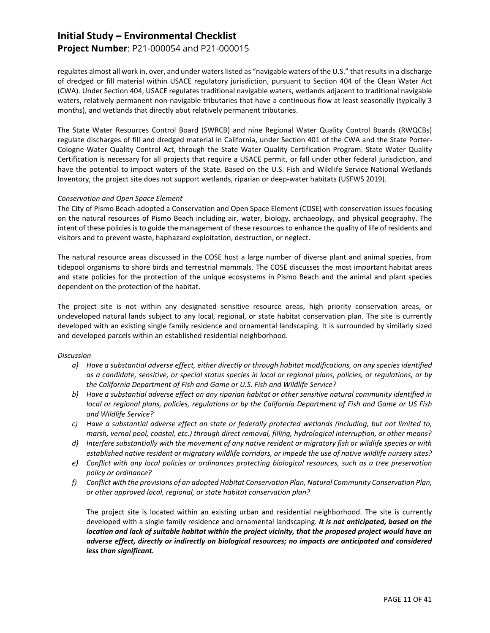### **Project Number**: P21-000054 and P21-000015

regulates almost all work in, over, and under waters listed as "navigable waters of the U.S." that results in a discharge of dredged or fill material within USACE regulatory jurisdiction, pursuant to Section 404 of the Clean Water Act (CWA). Under Section 404, USACE regulates traditional navigable waters, wetlands adjacent to traditional navigable waters, relatively permanent non-navigable tributaries that have a continuous flow at least seasonally (typically 3 months), and wetlands that directly abut relatively permanent tributaries.

The State Water Resources Control Board (SWRCB) and nine Regional Water Quality Control Boards (RWQCBs) regulate discharges of fill and dredged material in California, under Section 401 of the CWA and the State Porter-Cologne Water Quality Control Act, through the State Water Quality Certification Program. State Water Quality Certification is necessary for all projects that require a USACE permit, or fall under other federal jurisdiction, and have the potential to impact waters of the State. Based on the U.S. Fish and Wildlife Service National Wetlands Inventory, the project site does not support wetlands, riparian or deep-water habitats (USFWS 2019).

#### *Conservation and Open Space Element*

The City of Pismo Beach adopted a Conservation and Open Space Element (COSE) with conservation issues focusing on the natural resources of Pismo Beach including air, water, biology, archaeology, and physical geography. The intent of these policies is to guide the management of these resources to enhance the quality of life of residents and visitors and to prevent waste, haphazard exploitation, destruction, or neglect.

The natural resource areas discussed in the COSE host a large number of diverse plant and animal species, from tidepool organisms to shore birds and terrestrial mammals. The COSE discusses the most important habitat areas and state policies for the protection of the unique ecosystems in Pismo Beach and the animal and plant species dependent on the protection of the habitat.

The project site is not within any designated sensitive resource areas, high priority conservation areas, or undeveloped natural lands subject to any local, regional, or state habitat conservation plan. The site is currently developed with an existing single family residence and ornamental landscaping. It is surrounded by similarly sized and developed parcels within an established residential neighborhood.

#### *Discussion*

- *a) Have a substantial adverse effect, either directly or through habitat modifications, on any species identified as a candidate, sensitive, or special status species in local or regional plans, policies, or regulations, or by the California Department of Fish and Game or U.S. Fish and Wildlife Service?*
- *b) Have a substantial adverse effect on any riparian habitat or other sensitive natural community identified in local or regional plans, policies, regulations or by the California Department of Fish and Game or US Fish and Wildlife Service?*
- *c) Have a substantial adverse effect on state or federally protected wetlands (including, but not limited to, marsh, vernal pool, coastal, etc.) through direct removal, filling, hydrological interruption, or other means?*
- *d) Interfere substantially with the movement of any native resident or migratory fish or wildlife species or with established native resident or migratory wildlife corridors, or impede the use of native wildlife nursery sites?*
- *e) Conflict with any local policies or ordinances protecting biological resources, such as a tree preservation policy or ordinance?*
- *f) Conflict with the provisions of an adopted Habitat Conservation Plan, Natural Community Conservation Plan, or other approved local, regional, or state habitat conservation plan?*

The project site is located within an existing urban and residential neighborhood. The site is currently developed with a single family residence and ornamental landscaping. *It is not anticipated, based on the location and lack of suitable habitat within the project vicinity, that the proposed project would have an adverse effect, directly or indirectly on biological resources; no impacts are anticipated and considered less than significant.*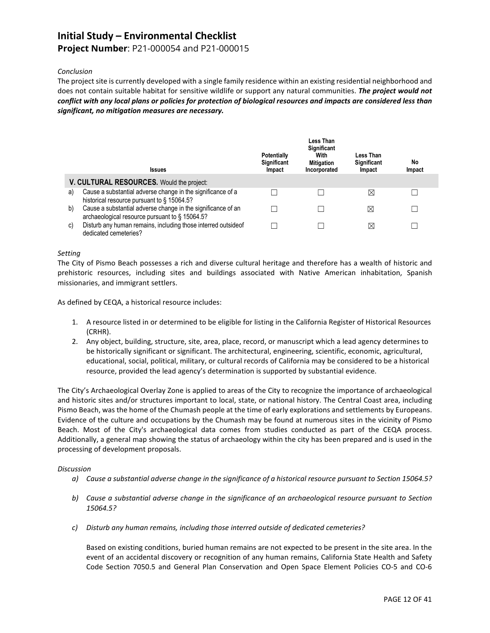### **Project Number**: P21-000054 and P21-000015

#### *Conclusion*

The project site is currently developed with a single family residence within an existing residential neighborhood and does not contain suitable habitat for sensitive wildlife or support any natural communities. *The project would not conflict with any local plans or policies for protection of biological resources and impacts are considered less than significant, no mitigation measures are necessary.*

|    | <b>Issues</b>                                                                                                  | <b>Potentially</b><br>Significant<br>Impact | Less Than<br><b>Significant</b><br>With<br><b>Mitigation</b><br>Incorporated | Less Than<br><b>Significant</b><br>Impact | No<br>Impact |
|----|----------------------------------------------------------------------------------------------------------------|---------------------------------------------|------------------------------------------------------------------------------|-------------------------------------------|--------------|
|    | V. CULTURAL RESOURCES. Would the project:                                                                      |                                             |                                                                              |                                           |              |
| a) | Cause a substantial adverse change in the significance of a<br>historical resource pursuant to § 15064.5?      |                                             |                                                                              | $\boxtimes$                               |              |
| b) | Cause a substantial adverse change in the significance of an<br>archaeological resource pursuant to § 15064.5? |                                             |                                                                              | ⊠                                         |              |
| C) | Disturb any human remains, including those interred outside of<br>dedicated cemeteries?                        |                                             |                                                                              | $\boxtimes$                               |              |

#### *Setting*

The City of Pismo Beach possesses a rich and diverse cultural heritage and therefore has a wealth of historic and prehistoric resources, including sites and buildings associated with Native American inhabitation, Spanish missionaries, and immigrant settlers.

As defined by CEQA, a historical resource includes:

- 1. A resource listed in or determined to be eligible for listing in the California Register of Historical Resources (CRHR).
- 2. Any object, building, structure, site, area, place, record, or manuscript which a lead agency determines to be historically significant or significant. The architectural, engineering, scientific, economic, agricultural, educational, social, political, military, or cultural records of California may be considered to be a historical resource, provided the lead agency's determination is supported by substantial evidence.

The City's Archaeological Overlay Zone is applied to areas of the City to recognize the importance of archaeological and historic sites and/or structures important to local, state, or national history. The Central Coast area, including Pismo Beach, was the home of the Chumash people at the time of early explorations and settlements by Europeans. Evidence of the culture and occupations by the Chumash may be found at numerous sites in the vicinity of Pismo Beach. Most of the City's archaeological data comes from studies conducted as part of the CEQA process. Additionally, a general map showing the status of archaeology within the city has been prepared and is used in the processing of development proposals.

#### *Discussion*

- *a) Cause a substantial adverse change in the significance of a historical resource pursuant to Section 15064.5?*
- *b) Cause a substantial adverse change in the significance of an archaeological resource pursuant to Section 15064.5?*
- *c) Disturb any human remains, including those interred outside of dedicated cemeteries?*

Based on existing conditions, buried human remains are not expected to be present in the site area. In the event of an accidental discovery or recognition of any human remains, California State Health and Safety Code Section 7050.5 and General Plan Conservation and Open Space Element Policies CO-5 and CO-6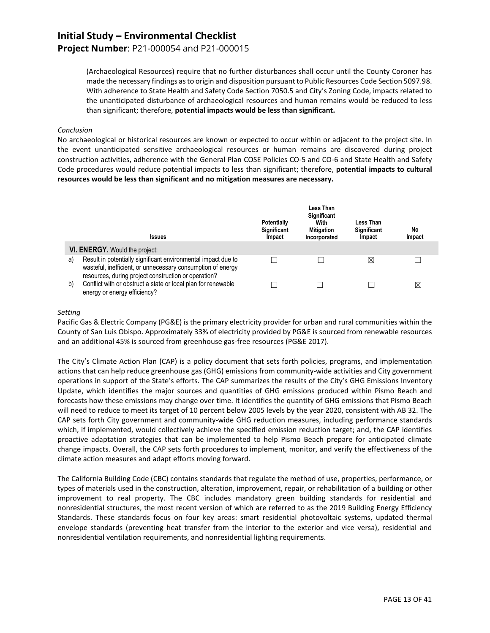### **Project Number**: P21-000054 and P21-000015

(Archaeological Resources) require that no further disturbances shall occur until the County Coroner has made the necessary findings as to origin and disposition pursuant to Public Resources Code Section 5097.98. With adherence to State Health and Safety Code Section 7050.5 and City's Zoning Code, impacts related to the unanticipated disturbance of archaeological resources and human remains would be reduced to less than significant; therefore, **potential impacts would be less than significant.**

#### *Conclusion*

No archaeological or historical resources are known or expected to occur within or adjacent to the project site. In the event unanticipated sensitive archaeological resources or human remains are discovered during project construction activities, adherence with the General Plan COSE Policies CO-5 and CO-6 and State Health and Safety Code procedures would reduce potential impacts to less than significant; therefore, **potential impacts to cultural resources would be less than significant and no mitigation measures are necessary.**

|    | <b>Issues</b>                                                                                                                                                                        | <b>Potentially</b><br>Significant<br>Impact | Less Than<br>Significant<br>With<br><b>Mitigation</b><br>Incorporated | Less Than<br><b>Significant</b><br>Impact | No<br>Impact |
|----|--------------------------------------------------------------------------------------------------------------------------------------------------------------------------------------|---------------------------------------------|-----------------------------------------------------------------------|-------------------------------------------|--------------|
|    | VI. ENERGY. Would the project:                                                                                                                                                       |                                             |                                                                       |                                           |              |
| a) | Result in potentially significant environmental impact due to<br>wasteful, inefficient, or unnecessary consumption of energy<br>resources, during project construction or operation? |                                             |                                                                       | $\boxtimes$                               |              |
| b) | Conflict with or obstruct a state or local plan for renewable<br>energy or energy efficiency?                                                                                        |                                             |                                                                       |                                           | $\boxtimes$  |

#### *Setting*

Pacific Gas & Electric Company (PG&E) is the primary electricity provider for urban and rural communities within the County of San Luis Obispo. Approximately 33% of electricity provided by PG&E is sourced from renewable resources and an additional 45% is sourced from greenhouse gas-free resources (PG&E 2017).

The City's Climate Action Plan (CAP) is a policy document that sets forth policies, programs, and implementation actions that can help reduce greenhouse gas (GHG) emissions from community-wide activities and City government operations in support of the State's efforts. The CAP summarizes the results of the City's GHG Emissions Inventory Update, which identifies the major sources and quantities of GHG emissions produced within Pismo Beach and forecasts how these emissions may change over time. It identifies the quantity of GHG emissions that Pismo Beach will need to reduce to meet its target of 10 percent below 2005 levels by the year 2020, consistent with AB 32. The CAP sets forth City government and community-wide GHG reduction measures, including performance standards which, if implemented, would collectively achieve the specified emission reduction target; and, the CAP identifies proactive adaptation strategies that can be implemented to help Pismo Beach prepare for anticipated climate change impacts. Overall, the CAP sets forth procedures to implement, monitor, and verify the effectiveness of the climate action measures and adapt efforts moving forward.

The California Building Code (CBC) contains standards that regulate the method of use, properties, performance, or types of materials used in the construction, alteration, improvement, repair, or rehabilitation of a building or other improvement to real property. The CBC includes mandatory green building standards for residential and nonresidential structures, the most recent version of which are referred to as the 2019 Building Energy Efficiency Standards. These standards focus on four key areas: smart residential photovoltaic systems, updated thermal envelope standards (preventing heat transfer from the interior to the exterior and vice versa), residential and nonresidential ventilation requirements, and nonresidential lighting requirements.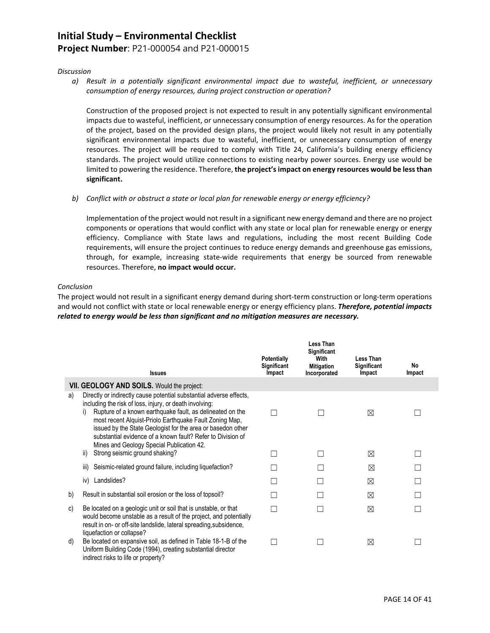### **Project Number**: P21-000054 and P21-000015

#### *Discussion*

*a) Result in a potentially significant environmental impact due to wasteful, inefficient, or unnecessary consumption of energy resources, during project construction or operation?*

Construction of the proposed project is not expected to result in any potentially significant environmental impacts due to wasteful, inefficient, or unnecessary consumption of energy resources. As for the operation of the project, based on the provided design plans, the project would likely not result in any potentially significant environmental impacts due to wasteful, inefficient, or unnecessary consumption of energy resources. The project will be required to comply with Title 24, California's building energy efficiency standards. The project would utilize connections to existing nearby power sources. Energy use would be limited to powering the residence. Therefore, **the project's impact on energy resources would be less than significant.**

*b) Conflict with or obstruct a state or local plan for renewable energy or energy efficiency?*

Implementation of the project would not result in a significant new energy demand and there are no project components or operations that would conflict with any state or local plan for renewable energy or energy efficiency. Compliance with State laws and regulations, including the most recent Building Code requirements, will ensure the project continues to reduce energy demands and greenhouse gas emissions, through, for example, increasing state-wide requirements that energy be sourced from renewable resources. Therefore, **no impact would occur.**

#### *Conclusion*

The project would not result in a significant energy demand during short-term construction or long-term operations and would not conflict with state or local renewable energy or energy efficiency plans. *Therefore, potential impacts related to energy would be less than significant and no mitigation measures are necessary.*

|    | <b>Issues</b>                                                                                                                                                                                                                                                                                                                                                                                                                                                                    | Potentially<br>Significant<br>Impact | Less Than<br>Significant<br>With<br><b>Mitigation</b><br>Incorporated | Less Than<br>Significant<br>Impact | No<br>Impact |
|----|----------------------------------------------------------------------------------------------------------------------------------------------------------------------------------------------------------------------------------------------------------------------------------------------------------------------------------------------------------------------------------------------------------------------------------------------------------------------------------|--------------------------------------|-----------------------------------------------------------------------|------------------------------------|--------------|
|    | <b>VII. GEOLOGY AND SOILS.</b> Would the project:                                                                                                                                                                                                                                                                                                                                                                                                                                |                                      |                                                                       |                                    |              |
| a) | Directly or indirectly cause potential substantial adverse effects,<br>including the risk of loss, injury, or death involving:<br>Rupture of a known earthquake fault, as delineated on the<br>i)<br>most recent Alquist-Priolo Earthquake Fault Zoning Map,<br>issued by the State Geologist for the area or basedon other<br>substantial evidence of a known fault? Refer to Division of<br>Mines and Geology Special Publication 42.<br>Strong seismic ground shaking?<br>ii) |                                      |                                                                       | ⊠<br>⊠                             |              |
|    |                                                                                                                                                                                                                                                                                                                                                                                                                                                                                  |                                      |                                                                       |                                    |              |
|    | Seismic-related ground failure, including liquefaction?<br>iii)                                                                                                                                                                                                                                                                                                                                                                                                                  |                                      |                                                                       | ⊠                                  |              |
|    | Landslides?<br>iv)                                                                                                                                                                                                                                                                                                                                                                                                                                                               |                                      |                                                                       | ⊠                                  |              |
| b) | Result in substantial soil erosion or the loss of topsoil?                                                                                                                                                                                                                                                                                                                                                                                                                       |                                      |                                                                       | ⊠                                  |              |
| C) | Be located on a geologic unit or soil that is unstable, or that<br>would become unstable as a result of the project, and potentially<br>result in on- or off-site landslide, lateral spreading, subsidence,<br>liquefaction or collapse?                                                                                                                                                                                                                                         |                                      |                                                                       | ⊠                                  |              |
| d) | Be located on expansive soil, as defined in Table 18-1-B of the<br>Uniform Building Code (1994), creating substantial director<br>indirect risks to life or property?                                                                                                                                                                                                                                                                                                            |                                      |                                                                       | ⊠                                  |              |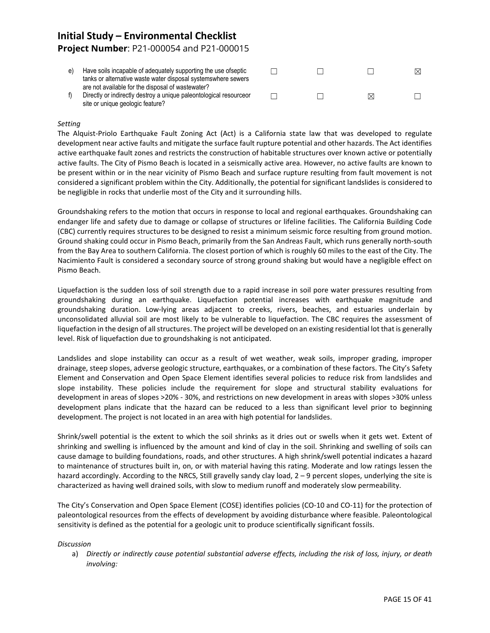## **Initial Study – Environmental Checklist Project Number**: P21-000054 and P21-000015

| Have soils incapable of adequately supporting the use of septic<br>tanks or alternative waste water disposal systems where sewers                           |  |   | ⊠ |
|-------------------------------------------------------------------------------------------------------------------------------------------------------------|--|---|---|
| are not available for the disposal of wastewater?<br>Directly or indirectly destroy a unique paleontological resourceor<br>site or unique geologic feature? |  | M |   |

#### *Setting*

The Alquist-Priolo Earthquake Fault Zoning Act (Act) is a California state law that was developed to regulate development near active faults and mitigate the surface fault rupture potential and other hazards. The Act identifies active earthquake fault zones and restricts the construction of habitable structures over known active or potentially active faults. The City of Pismo Beach is located in a seismically active area. However, no active faults are known to be present within or in the near vicinity of Pismo Beach and surface rupture resulting from fault movement is not considered a significant problem within the City. Additionally, the potential for significant landslides is considered to be negligible in rocks that underlie most of the City and it surrounding hills.

Groundshaking refers to the motion that occurs in response to local and regional earthquakes. Groundshaking can endanger life and safety due to damage or collapse of structures or lifeline facilities. The California Building Code (CBC) currently requires structures to be designed to resist a minimum seismic force resulting from ground motion. Ground shaking could occur in Pismo Beach, primarily from the San Andreas Fault, which runs generally north-south from the Bay Area to southern California. The closest portion of which is roughly 60 miles to the east of the City. The Nacimiento Fault is considered a secondary source of strong ground shaking but would have a negligible effect on Pismo Beach.

Liquefaction is the sudden loss of soil strength due to a rapid increase in soil pore water pressures resulting from groundshaking during an earthquake. Liquefaction potential increases with earthquake magnitude and groundshaking duration. Low-lying areas adjacent to creeks, rivers, beaches, and estuaries underlain by unconsolidated alluvial soil are most likely to be vulnerable to liquefaction. The CBC requires the assessment of liquefaction in the design of all structures. The project will be developed on an existing residential lot that is generally level. Risk of liquefaction due to groundshaking is not anticipated.

Landslides and slope instability can occur as a result of wet weather, weak soils, improper grading, improper drainage, steep slopes, adverse geologic structure, earthquakes, or a combination of these factors. The City's Safety Element and Conservation and Open Space Element identifies several policies to reduce risk from landslides and slope instability. These policies include the requirement for slope and structural stability evaluations for development in areas of slopes >20% - 30%, and restrictions on new development in areas with slopes >30% unless development plans indicate that the hazard can be reduced to a less than significant level prior to beginning development. The project is not located in an area with high potential for landslides.

Shrink/swell potential is the extent to which the soil shrinks as it dries out or swells when it gets wet. Extent of shrinking and swelling is influenced by the amount and kind of clay in the soil. Shrinking and swelling of soils can cause damage to building foundations, roads, and other structures. A high shrink/swell potential indicates a hazard to maintenance of structures built in, on, or with material having this rating. Moderate and low ratings lessen the hazard accordingly. According to the NRCS, Still gravelly sandy clay load,  $2 - 9$  percent slopes, underlying the site is characterized as having well drained soils, with slow to medium runoff and moderately slow permeability.

The City's Conservation and Open Space Element (COSE) identifies policies (CO-10 and CO-11) for the protection of paleontological resources from the effects of development by avoiding disturbance where feasible. Paleontological sensitivity is defined as the potential for a geologic unit to produce scientifically significant fossils.

#### *Discussion*

a) *Directly or indirectly cause potential substantial adverse effects, including the risk of loss, injury, or death involving:*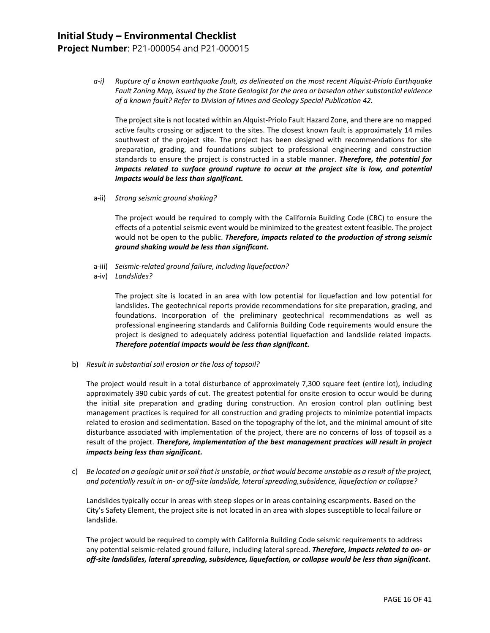## **Initial Study – Environmental Checklist Project Number**: P21-000054 and P21-000015

*a-i) Rupture of a known earthquake fault, as delineated on the most recent Alquist-Priolo Earthquake Fault Zoning Map, issued by the State Geologist for the area or basedon other substantial evidence of a known fault? Refer to Division of Mines and Geology Special Publication 42.*

The project site is not located within an Alquist-Priolo Fault Hazard Zone, and there are no mapped active faults crossing or adjacent to the sites. The closest known fault is approximately 14 miles southwest of the project site. The project has been designed with recommendations for site preparation, grading, and foundations subject to professional engineering and construction standards to ensure the project is constructed in a stable manner. *Therefore, the potential for impacts related to surface ground rupture to occur at the project site is low, and potential impacts would be less than significant.*

a-ii) *Strong seismic ground shaking?*

The project would be required to comply with the California Building Code (CBC) to ensure the effects of a potential seismic event would be minimized to the greatest extent feasible. The project would not be open to the public. *Therefore, impacts related to the production of strong seismic ground shaking would be less than significant.*

- a-iii) *Seismic-related ground failure, including liquefaction?*
- a-iv) *Landslides?*

The project site is located in an area with low potential for liquefaction and low potential for landslides. The geotechnical reports provide recommendations for site preparation, grading, and foundations. Incorporation of the preliminary geotechnical recommendations as well as professional engineering standards and California Building Code requirements would ensure the project is designed to adequately address potential liquefaction and landslide related impacts. *Therefore potential impacts would be less than significant.*

b) *Result in substantial soil erosion or the loss of topsoil?*

The project would result in a total disturbance of approximately 7,300 square feet (entire lot), including approximately 390 cubic yards of cut. The greatest potential for onsite erosion to occur would be during the initial site preparation and grading during construction. An erosion control plan outlining best management practices is required for all construction and grading projects to minimize potential impacts related to erosion and sedimentation. Based on the topography of the lot, and the minimal amount of site disturbance associated with implementation of the project, there are no concerns of loss of topsoil as a result of the project. *Therefore, implementation of the best management practices will result in project impacts being less than significant.*

c) *Be located on a geologic unit or soil that is unstable, or that would become unstable as a result of the project, and potentially result in on- or off-site landslide, lateral spreading,subsidence, liquefaction or collapse?*

Landslides typically occur in areas with steep slopes or in areas containing escarpments. Based on the City's Safety Element, the project site is not located in an area with slopes susceptible to local failure or landslide.

The project would be required to comply with California Building Code seismic requirements to address any potential seismic-related ground failure, including lateral spread. *Therefore, impacts related to on- or off-site landslides, lateral spreading, subsidence, liquefaction, or collapse would be less than significant.*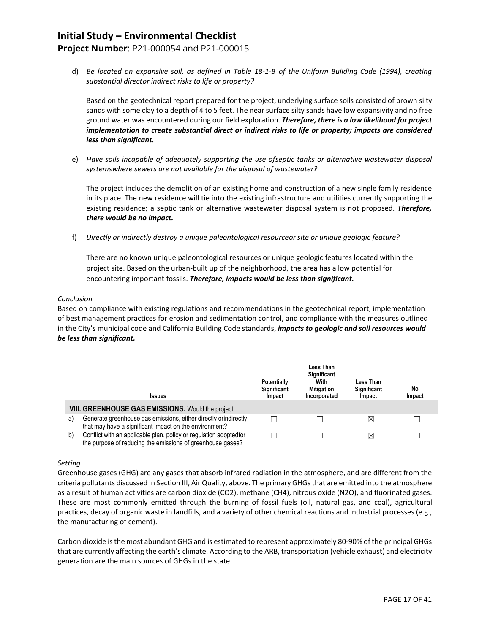### **Project Number**: P21-000054 and P21-000015

d) *Be located on expansive soil, as defined in Table 18-1-B of the Uniform Building Code (1994), creating substantial director indirect risks to life or property?*

Based on the geotechnical report prepared for the project, underlying surface soils consisted of brown silty sands with some clay to a depth of 4 to 5 feet. The near surface silty sands have low expansivity and no free ground water was encountered during our field exploration. *Therefore, there is a low likelihood for project implementation to create substantial direct or indirect risks to life or property; impacts are considered less than significant.*

e) *Have soils incapable of adequately supporting the use ofseptic tanks or alternative wastewater disposal systemswhere sewers are not available for the disposal of wastewater?*

The project includes the demolition of an existing home and construction of a new single family residence in its place. The new residence will tie into the existing infrastructure and utilities currently supporting the existing residence; a septic tank or alternative wastewater disposal system is not proposed. *Therefore, there would be no impact.*

f) *Directly or indirectly destroy a unique paleontological resourceor site or unique geologic feature?*

There are no known unique paleontological resources or unique geologic features located within the project site. Based on the urban-built up of the neighborhood, the area has a low potential for encountering important fossils. *Therefore, impacts would be less than significant.*

#### *Conclusion*

Based on compliance with existing regulations and recommendations in the geotechnical report, implementation of best management practices for erosion and sedimentation control, and compliance with the measures outlined in the City's municipal code and California Building Code standards, *impacts to geologic and soil resources would be less than significant.*

|    | <b>Issues</b>                                                                                                                    | <b>Potentially</b><br>Significant<br>Impact | Less Than<br><b>Significant</b><br>With<br><b>Mitigation</b><br>Incorporated | Less Than<br><b>Significant</b><br>Impact | No<br>Impact |
|----|----------------------------------------------------------------------------------------------------------------------------------|---------------------------------------------|------------------------------------------------------------------------------|-------------------------------------------|--------------|
|    | <b>VIII. GREENHOUSE GAS EMISSIONS.</b> Would the project:                                                                        |                                             |                                                                              |                                           |              |
| a) | Generate greenhouse gas emissions, either directly orindirectly,<br>that may have a significant impact on the environment?       |                                             |                                                                              | X                                         |              |
| b) | Conflict with an applicable plan, policy or regulation adopted for<br>the purpose of reducing the emissions of greenhouse gases? |                                             |                                                                              | ⊠                                         |              |

#### *Setting*

Greenhouse gases (GHG) are any gases that absorb infrared radiation in the atmosphere, and are different from the criteria pollutants discussed in Section III, Air Quality, above. The primary GHGs that are emitted into the atmosphere as a result of human activities are carbon dioxide (CO2), methane (CH4), nitrous oxide (N2O), and fluorinated gases. These are most commonly emitted through the burning of fossil fuels (oil, natural gas, and coal), agricultural practices, decay of organic waste in landfills, and a variety of other chemical reactions and industrial processes (e.g., the manufacturing of cement).

Carbon dioxide is the most abundant GHG and is estimated to represent approximately 80-90% of the principal GHGs that are currently affecting the earth's climate. According to the ARB, transportation (vehicle exhaust) and electricity generation are the main sources of GHGs in the state.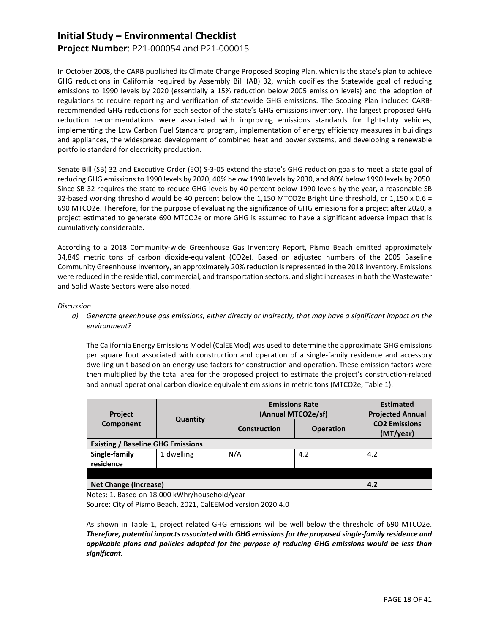### **Project Number**: P21-000054 and P21-000015

In October 2008, the CARB published its Climate Change Proposed Scoping Plan, which is the state's plan to achieve GHG reductions in California required by Assembly Bill (AB) 32, which codifies the Statewide goal of reducing emissions to 1990 levels by 2020 (essentially a 15% reduction below 2005 emission levels) and the adoption of regulations to require reporting and verification of statewide GHG emissions. The Scoping Plan included CARBrecommended GHG reductions for each sector of the state's GHG emissions inventory. The largest proposed GHG reduction recommendations were associated with improving emissions standards for light-duty vehicles, implementing the Low Carbon Fuel Standard program, implementation of energy efficiency measures in buildings and appliances, the widespread development of combined heat and power systems, and developing a renewable portfolio standard for electricity production.

Senate Bill (SB) 32 and Executive Order (EO) S-3-05 extend the state's GHG reduction goals to meet a state goal of reducing GHG emissions to 1990 levels by 2020, 40% below 1990 levels by 2030, and 80% below 1990 levels by 2050. Since SB 32 requires the state to reduce GHG levels by 40 percent below 1990 levels by the year, a reasonable SB 32-based working threshold would be 40 percent below the 1,150 MTCO2e Bright Line threshold, or 1,150 x 0.6 = 690 MTCO2e. Therefore, for the purpose of evaluating the significance of GHG emissions for a project after 2020, a project estimated to generate 690 MTCO2e or more GHG is assumed to have a significant adverse impact that is cumulatively considerable.

According to a 2018 Community-wide Greenhouse Gas Inventory Report, Pismo Beach emitted approximately 34,849 metric tons of carbon dioxide-equivalent (CO2e). Based on adjusted numbers of the 2005 Baseline Community Greenhouse Inventory, an approximately 20% reduction is represented in the 2018 Inventory. Emissions were reduced in the residential, commercial, and transportation sectors, and slight increases in both the Wastewater and Solid Waste Sectors were also noted.

#### *Discussion*

*a) Generate greenhouse gas emissions, either directly or indirectly, that may have a significant impact on the environment?*

The California Energy Emissions Model (CalEEMod) was used to determine the approximate GHG emissions per square foot associated with construction and operation of a single-family residence and accessory dwelling unit based on an energy use factors for construction and operation. These emission factors were then multiplied by the total area for the proposed project to estimate the project's construction-related and annual operational carbon dioxide equivalent emissions in metric tons (MTCO2e; Table 1).

| <b>Project</b>                           | Quantity   | <b>Emissions Rate</b><br>(Annual MTCO2e/sf) | <b>Estimated</b><br><b>Projected Annual</b> |                                   |
|------------------------------------------|------------|---------------------------------------------|---------------------------------------------|-----------------------------------|
| Component                                |            | <b>Construction</b>                         | <b>Operation</b>                            | <b>CO2 Emissions</b><br>(MT/year) |
| <b>Existing / Baseline GHG Emissions</b> |            |                                             |                                             |                                   |
| Single-family<br>residence               | 1 dwelling | N/A                                         | 4.2                                         | 4.2                               |
|                                          |            |                                             |                                             |                                   |
| <b>Net Change (Increase)</b>             | 4.2        |                                             |                                             |                                   |

Notes: 1. Based on 18,000 kWhr/household/year

Source: City of Pismo Beach, 2021, CalEEMod version 2020.4.0

As shown in Table 1, project related GHG emissions will be well below the threshold of 690 MTCO2e. *Therefore, potential impacts associated with GHG emissions for the proposed single-family residence and applicable plans and policies adopted for the purpose of reducing GHG emissions would be less than significant.*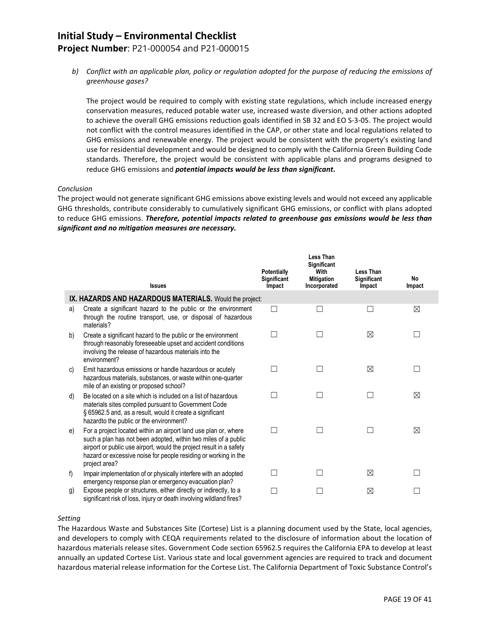## **Project Number**: P21-000054 and P21-000015

*b) Conflict with an applicable plan, policy or regulation adopted for the purpose of reducing the emissions of greenhouse gases?*

The project would be required to comply with existing state regulations, which include increased energy conservation measures, reduced potable water use, increased waste diversion, and other actions adopted to achieve the overall GHG emissions reduction goals identified in SB 32 and EO S-3-05. The project would not conflict with the control measures identified in the CAP, or other state and local regulations related to GHG emissions and renewable energy. The project would be consistent with the property's existing land use for residential development and would be designed to comply with the California Green Building Code standards. Therefore, the project would be consistent with applicable plans and programs designed to reduce GHG emissions and *potential impacts would be less than significant.*

#### *Conclusion*

The project would not generate significant GHG emissions above existing levels and would not exceed any applicable GHG thresholds, contribute considerably to cumulatively significant GHG emissions, or conflict with plans adopted to reduce GHG emissions. *Therefore, potential impacts related to greenhouse gas emissions would be less than significant and no mitigation measures are necessary.*

|                | <b>Issues</b>                                                                                                                                                                                                                                                                                | Potentially<br>Significant<br>Impact | <b>Less Than</b><br><b>Significant</b><br>With<br><b>Mitigation</b><br>Incorporated | Less Than<br>Significant<br>Impact | No<br>Impact |
|----------------|----------------------------------------------------------------------------------------------------------------------------------------------------------------------------------------------------------------------------------------------------------------------------------------------|--------------------------------------|-------------------------------------------------------------------------------------|------------------------------------|--------------|
|                | IX. HAZARDS AND HAZARDOUS MATERIALS. Would the project:                                                                                                                                                                                                                                      |                                      |                                                                                     |                                    |              |
| a)             | Create a significant hazard to the public or the environment<br>through the routine transport, use, or disposal of hazardous<br>materials?                                                                                                                                                   | $\mathbf{I}$                         |                                                                                     |                                    | ⊠            |
| b)             | Create a significant hazard to the public or the environment<br>through reasonably foreseeable upset and accident conditions<br>involving the release of hazardous materials into the<br>environment?                                                                                        |                                      |                                                                                     | $\boxtimes$                        |              |
| C)             | Emit hazardous emissions or handle hazardous or acutely<br>hazardous materials, substances, or waste within one-quarter<br>mile of an existing or proposed school?                                                                                                                           |                                      |                                                                                     | $\boxtimes$                        |              |
| d)             | Be located on a site which is included on a list of hazardous<br>materials sites compiled pursuant to Government Code<br>§ 65962.5 and, as a result, would it create a significant<br>hazardto the public or the environment?                                                                |                                      |                                                                                     |                                    | ⊠            |
| e)             | For a project located within an airport land use plan or, where<br>such a plan has not been adopted, within two miles of a public<br>airport or public use airport, would the project result in a safety<br>hazard or excessive noise for people residing or working in the<br>project area? | ×                                    |                                                                                     |                                    | ⊠            |
| f)             | Impair implementation of or physically interfere with an adopted<br>emergency response plan or emergency evacuation plan?                                                                                                                                                                    |                                      |                                                                                     | ⊠                                  |              |
| $\mathfrak{g}$ | Expose people or structures, either directly or indirectly, to a<br>significant risk of loss, injury or death involving wildland fires?                                                                                                                                                      |                                      |                                                                                     | ⊠                                  |              |

#### *Setting*

The Hazardous Waste and Substances Site (Cortese) List is a planning document used by the State, local agencies, and developers to comply with CEQA requirements related to the disclosure of information about the location of hazardous materials release sites. Government Code section 65962.5 requires the California EPA to develop at least annually an updated Cortese List. Various state and local government agencies are required to track and document hazardous material release information for the Cortese List. The California Department of Toxic Substance Control's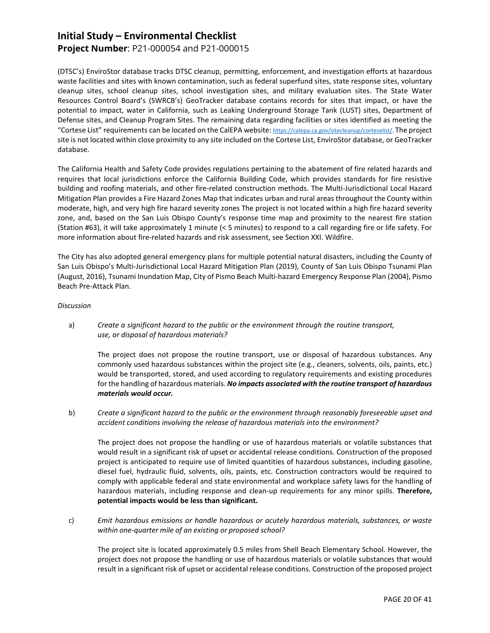### **Project Number**: P21-000054 and P21-000015

(DTSC's) EnviroStor database tracks DTSC cleanup, permitting, enforcement, and investigation efforts at hazardous waste facilities and sites with known contamination, such as federal superfund sites, state response sites, voluntary cleanup sites, school cleanup sites, school investigation sites, and military evaluation sites. The State Water Resources Control Board's (SWRCB's) GeoTracker database contains records for sites that impact, or have the potential to impact, water in California, such as Leaking Underground Storage Tank (LUST) sites, Department of Defense sites, and Cleanup Program Sites. The remaining data regarding facilities or sites identified as meeting the "Cortese List" requirements can be located on the CalEPA website[: https://calepa.ca.gov/sitecleanup/corteselist/.](https://calepa.ca.gov/sitecleanup/corteselist/) The project site is not located within close proximity to any site included on the Cortese List, EnviroStor database, or GeoTracker database.

The California Health and Safety Code provides regulations pertaining to the abatement of fire related hazards and requires that local jurisdictions enforce the California Building Code, which provides standards for fire resistive building and roofing materials, and other fire-related construction methods. The Multi-Jurisdictional Local Hazard Mitigation Plan provides a Fire Hazard Zones Map that indicates urban and rural areas throughout the County within moderate, high, and very high fire hazard severity zones The project is not located within a high fire hazard severity zone, and, based on the San Luis Obispo County's response time map and proximity to the nearest fire station (Station #63), it will take approximately 1 minute (< 5 minutes) to respond to a call regarding fire or life safety. For more information about fire-related hazards and risk assessment, see Section XXI. Wildfire.

The City has also adopted general emergency plans for multiple potential natural disasters, including the County of San Luis Obispo's Multi-Jurisdictional Local Hazard Mitigation Plan (2019), County of San Luis Obispo Tsunami Plan (August, 2016), Tsunami Inundation Map, City of Pismo Beach Multi-hazard Emergency Response Plan (2004), Pismo Beach Pre-Attack Plan.

#### *Discussion*

a) *Create a significant hazard to the public or the environment through the routine transport, use, or disposal of hazardous materials?*

The project does not propose the routine transport, use or disposal of hazardous substances. Any commonly used hazardous substances within the project site (e.g., cleaners, solvents, oils, paints, etc.) would be transported, stored, and used according to regulatory requirements and existing procedures for the handling of hazardous materials. *No impacts associated with the routine transport of hazardous materials would occur.*

b) *Create a significant hazard to the public or the environment through reasonably foreseeable upset and accident conditions involving the release of hazardous materials into the environment?*

The project does not propose the handling or use of hazardous materials or volatile substances that would result in a significant risk of upset or accidental release conditions. Construction of the proposed project is anticipated to require use of limited quantities of hazardous substances, including gasoline, diesel fuel, hydraulic fluid, solvents, oils, paints, etc. Construction contractors would be required to comply with applicable federal and state environmental and workplace safety laws for the handling of hazardous materials, including response and clean-up requirements for any minor spills. **Therefore, potential impacts would be less than significant.**

c) *Emit hazardous emissions or handle hazardous or acutely hazardous materials, substances, or waste within one-quarter mile of an existing or proposed school?*

The project site is located approximately 0.5 miles from Shell Beach Elementary School. However, the project does not propose the handling or use of hazardous materials or volatile substances that would result in a significant risk of upset or accidental release conditions. Construction of the proposed project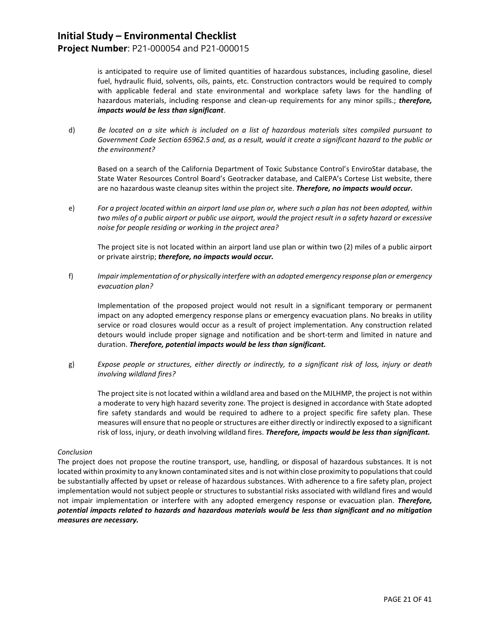### **Project Number**: P21-000054 and P21-000015

is anticipated to require use of limited quantities of hazardous substances, including gasoline, diesel fuel, hydraulic fluid, solvents, oils, paints, etc. Construction contractors would be required to comply with applicable federal and state environmental and workplace safety laws for the handling of hazardous materials, including response and clean-up requirements for any minor spills.; *therefore, impacts would be less than significant*.

d) *Be located on a site which is included on a list of hazardous materials sites compiled pursuant to Government Code Section 65962.5 and, as a result, would it create a significant hazard to the public or the environment?*

Based on a search of the California Department of Toxic Substance Control's EnviroStar database, the State Water Resources Control Board's Geotracker database, and CalEPA's Cortese List website, there are no hazardous waste cleanup sites within the project site. *Therefore, no impacts would occur.*

e) *For a project located within an airport land use plan or, where such a plan has not been adopted, within two miles of a public airport or public use airport, would the project result in a safety hazard or excessive noise for people residing or working in the project area?*

The project site is not located within an airport land use plan or within two (2) miles of a public airport or private airstrip; *therefore, no impacts would occur.*

f) *Impair implementation of or physically interfere with an adopted emergency response plan or emergency evacuation plan?*

Implementation of the proposed project would not result in a significant temporary or permanent impact on any adopted emergency response plans or emergency evacuation plans. No breaks in utility service or road closures would occur as a result of project implementation. Any construction related detours would include proper signage and notification and be short-term and limited in nature and duration. *Therefore, potential impacts would be less than significant.*

g) *Expose people or structures, either directly or indirectly, to a significant risk of loss, injury or death involving wildland fires?*

The project site is not located within a wildland area and based on the MJLHMP, the project is not within a moderate to very high hazard severity zone. The project is designed in accordance with State adopted fire safety standards and would be required to adhere to a project specific fire safety plan. These measures will ensure that no people or structures are either directly or indirectly exposed to a significant risk of loss, injury, or death involving wildland fires. *Therefore, impacts would be less than significant.*

#### *Conclusion*

The project does not propose the routine transport, use, handling, or disposal of hazardous substances. It is not located within proximity to any known contaminated sites and is not within close proximity to populations that could be substantially affected by upset or release of hazardous substances. With adherence to a fire safety plan, project implementation would not subject people or structures to substantial risks associated with wildland fires and would not impair implementation or interfere with any adopted emergency response or evacuation plan. *Therefore, potential impacts related to hazards and hazardous materials would be less than significant and no mitigation measures are necessary.*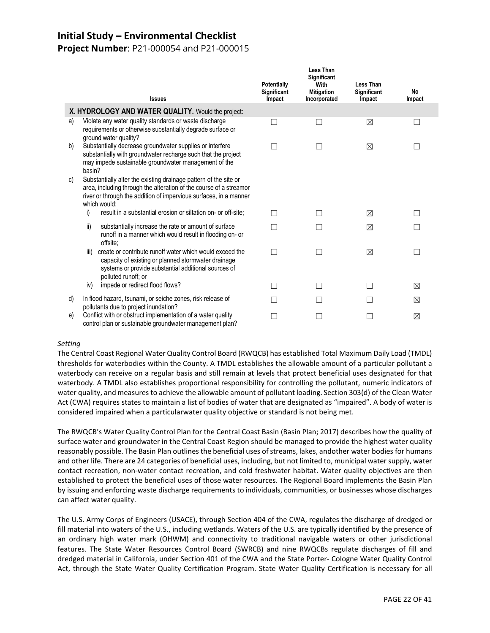## **Project Number**: P21-000054 and P21-000015

|    | <b>Issues</b>                                                                                                                                                                                                               | Potentially<br>Significant<br>Impact | <b>Less Than</b><br>Significant<br>With<br><b>Mitigation</b><br>Incorporated | Less Than<br><b>Significant</b><br>Impact | <b>No</b><br>Impact |
|----|-----------------------------------------------------------------------------------------------------------------------------------------------------------------------------------------------------------------------------|--------------------------------------|------------------------------------------------------------------------------|-------------------------------------------|---------------------|
|    | X. HYDROLOGY AND WATER QUALITY. Would the project:                                                                                                                                                                          |                                      |                                                                              |                                           |                     |
| a) | Violate any water quality standards or waste discharge<br>requirements or otherwise substantially degrade surface or<br>ground water quality?                                                                               |                                      |                                                                              | $\boxtimes$                               |                     |
| b) | Substantially decrease groundwater supplies or interfere<br>substantially with groundwater recharge such that the project<br>may impede sustainable groundwater management of the<br>basin?                                 |                                      |                                                                              | ⊠                                         |                     |
| C) | Substantially alter the existing drainage pattern of the site or<br>area, including through the alteration of the course of a streamor<br>river or through the addition of impervious surfaces, in a manner<br>which would: |                                      |                                                                              |                                           |                     |
|    | result in a substantial erosion or siltation on- or off-site;<br>i)                                                                                                                                                         |                                      |                                                                              | ⊠                                         |                     |
|    | ii)<br>substantially increase the rate or amount of surface<br>runoff in a manner which would result in flooding on- or<br>offsite:                                                                                         |                                      |                                                                              | $\boxtimes$                               |                     |
|    | create or contribute runoff water which would exceed the<br>iii)<br>capacity of existing or planned stormwater drainage<br>systems or provide substantial additional sources of<br>polluted runoff; or                      |                                      |                                                                              | ⊠                                         |                     |
|    | impede or redirect flood flows?<br>iv)                                                                                                                                                                                      |                                      |                                                                              |                                           | ⊠                   |
| d) | In flood hazard, tsunami, or seiche zones, risk release of<br>pollutants due to project inundation?                                                                                                                         |                                      |                                                                              |                                           | ⊠                   |
| e) | Conflict with or obstruct implementation of a water quality<br>control plan or sustainable groundwater management plan?                                                                                                     |                                      |                                                                              |                                           | ⊠                   |

#### *Setting*

The Central Coast Regional Water Quality Control Board (RWQCB) has established Total Maximum Daily Load (TMDL) thresholds for waterbodies within the County. A TMDL establishes the allowable amount of a particular pollutant a waterbody can receive on a regular basis and still remain at levels that protect beneficial uses designated for that waterbody. A TMDL also establishes proportional responsibility for controlling the pollutant, numeric indicators of water quality, and measures to achieve the allowable amount of pollutant loading. Section 303(d) of the Clean Water Act (CWA) requires states to maintain a list of bodies of water that are designated as "impaired". A body of water is considered impaired when a particularwater quality objective or standard is not being met.

The RWQCB's Water Quality Control Plan for the Central Coast Basin (Basin Plan; 2017) describes how the quality of surface water and groundwater in the Central Coast Region should be managed to provide the highest water quality reasonably possible. The Basin Plan outlines the beneficial uses of streams, lakes, andother water bodies for humans and other life. There are 24 categories of beneficial uses, including, but not limited to, municipal water supply, water contact recreation, non-water contact recreation, and cold freshwater habitat. Water quality objectives are then established to protect the beneficial uses of those water resources. The Regional Board implements the Basin Plan by issuing and enforcing waste discharge requirements to individuals, communities, or businesses whose discharges can affect water quality.

The U.S. Army Corps of Engineers (USACE), through Section 404 of the CWA, regulates the discharge of dredged or fill material into waters of the U.S., including wetlands. Waters of the U.S. are typically identified by the presence of an ordinary high water mark (OHWM) and connectivity to traditional navigable waters or other jurisdictional features. The State Water Resources Control Board (SWRCB) and nine RWQCBs regulate discharges of fill and dredged material in California, under Section 401 of the CWA and the State Porter- Cologne Water Quality Control Act, through the State Water Quality Certification Program. State Water Quality Certification is necessary for all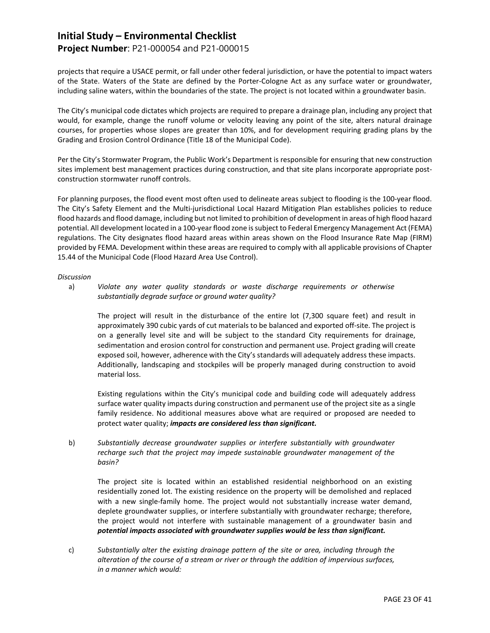### **Project Number**: P21-000054 and P21-000015

projects that require a USACE permit, or fall under other federal jurisdiction, or have the potential to impact waters of the State. Waters of the State are defined by the Porter-Cologne Act as any surface water or groundwater, including saline waters, within the boundaries of the state. The project is not located within a groundwater basin.

The City's municipal code dictates which projects are required to prepare a drainage plan, including any project that would, for example, change the runoff volume or velocity leaving any point of the site, alters natural drainage courses, for properties whose slopes are greater than 10%, and for development requiring grading plans by the Grading and Erosion Control Ordinance (Title 18 of the Municipal Code).

Per the City's Stormwater Program, the Public Work's Department is responsible for ensuring that new construction sites implement best management practices during construction, and that site plans incorporate appropriate postconstruction stormwater runoff controls.

For planning purposes, the flood event most often used to delineate areas subject to flooding is the 100-year flood. The City's Safety Element and the Multi-jurisdictional Local Hazard Mitigation Plan establishes policies to reduce flood hazards and flood damage, including but not limited to prohibition of development in areas of high flood hazard potential. All development located in a 100-year flood zone is subject to Federal Emergency Management Act (FEMA) regulations. The City designates flood hazard areas within areas shown on the Flood Insurance Rate Map (FIRM) provided by FEMA. Development within these areas are required to comply with all applicable provisions of Chapter 15.44 of the Municipal Code (Flood Hazard Area Use Control).

#### *Discussion*

a) *Violate any water quality standards or waste discharge requirements or otherwise substantially degrade surface or ground water quality?*

The project will result in the disturbance of the entire lot (7,300 square feet) and result in approximately 390 cubic yards of cut materials to be balanced and exported off-site. The project is on a generally level site and will be subject to the standard City requirements for drainage, sedimentation and erosion control for construction and permanent use. Project grading will create exposed soil, however, adherence with the City's standards will adequately address these impacts. Additionally, landscaping and stockpiles will be properly managed during construction to avoid material loss.

Existing regulations within the City's municipal code and building code will adequately address surface water quality impacts during construction and permanent use of the project site as a single family residence. No additional measures above what are required or proposed are needed to protect water quality; *impacts are considered less than significant.*

b) *Substantially decrease groundwater supplies or interfere substantially with groundwater recharge such that the project may impede sustainable groundwater management of the basin?*

The project site is located within an established residential neighborhood on an existing residentially zoned lot. The existing residence on the property will be demolished and replaced with a new single-family home. The project would not substantially increase water demand, deplete groundwater supplies, or interfere substantially with groundwater recharge; therefore, the project would not interfere with sustainable management of a groundwater basin and *potential impacts associated with groundwater supplies would be less than significant.*

c) *Substantially alter the existing drainage pattern of the site or area, including through the alteration of the course of a stream or river or through the addition of impervious surfaces, in a manner which would:*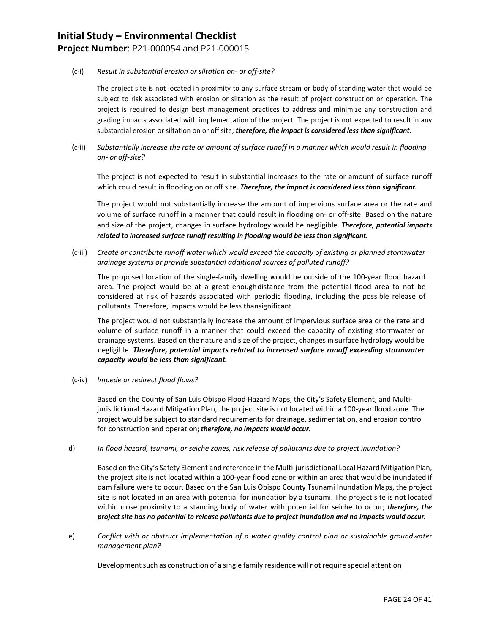## **Initial Study – Environmental Checklist Project Number**: P21-000054 and P21-000015

#### (c-i) *Result in substantial erosion or siltation on- or off-site?*

The project site is not located in proximity to any surface stream or body of standing water that would be subject to risk associated with erosion or siltation as the result of project construction or operation. The project is required to design best management practices to address and minimize any construction and grading impacts associated with implementation of the project. The project is not expected to result in any substantial erosion or siltation on or off site; *therefore, the impact is considered less than significant.*

(c-ii) *Substantially increase the rate or amount of surface runoff in a manner which would result in flooding on- or off-site?*

The project is not expected to result in substantial increases to the rate or amount of surface runoff which could result in flooding on or off site. *Therefore, the impact is considered less than significant.*

The project would not substantially increase the amount of impervious surface area or the rate and volume of surface runoff in a manner that could result in flooding on- or off-site. Based on the nature and size of the project, changes in surface hydrology would be negligible. *Therefore, potential impacts related to increased surface runoff resulting in flooding would be less than significant.*

(c-iii) *Create or contribute runoff water which would exceed the capacity of existing or planned stormwater drainage systems or provide substantial additional sources of polluted runoff?*

The proposed location of the single-family dwelling would be outside of the 100-year flood hazard area. The project would be at a great enoughdistance from the potential flood area to not be considered at risk of hazards associated with periodic flooding, including the possible release of pollutants. Therefore, impacts would be less thansignificant.

The project would not substantially increase the amount of impervious surface area or the rate and volume of surface runoff in a manner that could exceed the capacity of existing stormwater or drainage systems. Based on the nature and size of the project, changes in surface hydrology would be negligible. *Therefore, potential impacts related to increased surface runoff exceeding stormwater capacity would be less than significant.*

(c-iv) *Impede or redirect flood flows?*

Based on the County of San Luis Obispo Flood Hazard Maps, the City's Safety Element, and Multijurisdictional Hazard Mitigation Plan, the project site is not located within a 100-year flood zone. The project would be subject to standard requirements for drainage, sedimentation, and erosion control for construction and operation; *therefore, no impacts would occur.*

#### d) *In flood hazard, tsunami, or seiche zones, risk release of pollutants due to project inundation?*

Based on the City's Safety Element and reference in the Multi-jurisdictional Local Hazard Mitigation Plan, the project site is not located within a 100-year flood zone or within an area that would be inundated if dam failure were to occur. Based on the San Luis Obispo County Tsunami Inundation Maps, the project site is not located in an area with potential for inundation by a tsunami. The project site is not located within close proximity to a standing body of water with potential for seiche to occur; *therefore, the project site has no potential to release pollutants due to project inundation and no impacts would occur.*

e) *Conflict with or obstruct implementation of a water quality control plan or sustainable groundwater management plan?*

Development such as construction of a single family residence will not require special attention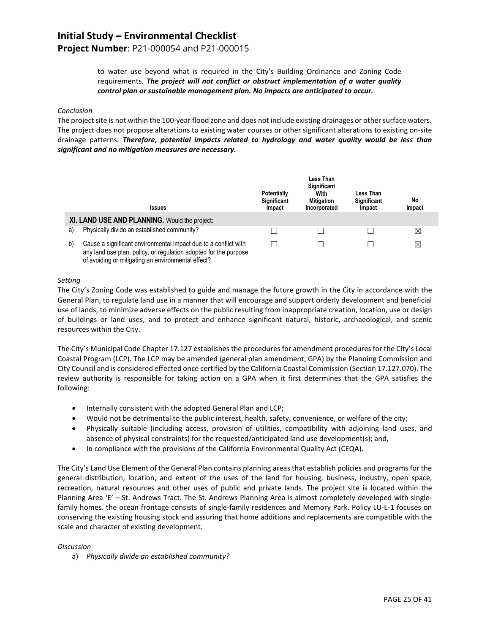## **Project Number**: P21-000054 and P21-000015

to water use beyond what is required in the City's Building Ordinance and Zoning Code requirements. *The project will not conflict or obstruct implementation of a water quality control plan or sustainable management plan. No impacts are anticipated to occur.*

#### *Conclusion*

The project site is not within the 100-year flood zone and does not include existing drainages or other surface waters. The project does not propose alterations to existing water courses or other significant alterations to existing on-site drainage patterns. *Therefore, potential impacts related to hydrology and water quality would be less than significant and no mitigation measures are necessary.*

|    | <b>Issues</b>                                                                                                                                                                             | <b>Potentially</b><br>Significant<br>Impact | Less Than<br>Significant<br>With<br><b>Mitigation</b><br>Incorporated | Less Than<br><b>Significant</b><br>Impact | No<br>Impact |
|----|-------------------------------------------------------------------------------------------------------------------------------------------------------------------------------------------|---------------------------------------------|-----------------------------------------------------------------------|-------------------------------------------|--------------|
|    | XI. LAND USE AND PLANNING. Would the project:                                                                                                                                             |                                             |                                                                       |                                           |              |
| a) | Physically divide an established community?                                                                                                                                               |                                             |                                                                       |                                           | ⊠            |
| b) | Cause a significant environmental impact due to a conflict with<br>any land use plan, policy, or regulation adopted for the purpose<br>of avoiding or mitigating an environmental effect? |                                             |                                                                       |                                           | ⊠            |

#### *Setting*

The City's Zoning Code was established to guide and manage the future growth in the City in accordance with the General Plan, to regulate land use in a manner that will encourage and support orderly development and beneficial use of lands, to minimize adverse effects on the public resulting from inappropriate creation, location, use or design of buildings or land uses, and to protect and enhance significant natural, historic, archaeological, and scenic resources within the City.

The City's Municipal Code Chapter 17.127 establishes the procedures for amendment procedures for the City's Local Coastal Program (LCP). The LCP may be amended (general plan amendment, GPA) by the Planning Commission and City Council and is considered effected once certified by the California Coastal Commission (Section 17.127.070). The review authority is responsible for taking action on a GPA when it first determines that the GPA satisfies the following:

- Internally consistent with the adopted General Plan and LCP;
- Would not be detrimental to the public interest, health, safety, convenience, or welfare of the city;
- Physically suitable (including access, provision of utilities, compatibility with adjoining land uses, and absence of physical constraints) for the requested/anticipated land use development(s); and,
- In compliance with the provisions of the California Environmental Quality Act (CEQA).

The City's Land Use Element of the General Plan contains planning areas that establish policies and programs for the general distribution, location, and extent of the uses of the land for housing, business, industry, open space, recreation, natural resources and other uses of public and private lands. The project site is located within the Planning Area 'E' – St. Andrews Tract. The St. Andrews Planning Area is almost completely developed with singlefamily homes. the ocean frontage consists of single-family residences and Memory Park. Policy LU-E-1 focuses on conserving the existing housing stock and assuring that home additions and replacements are compatible with the scale and character of existing development.

#### *Discussion*

a) *Physically divide an established community?*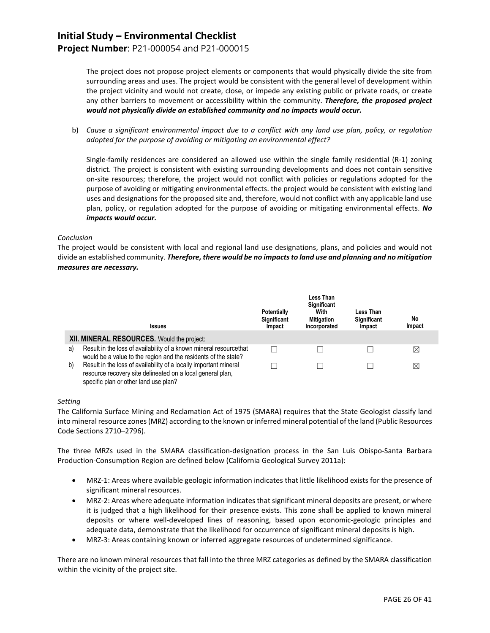### **Project Number**: P21-000054 and P21-000015

The project does not propose project elements or components that would physically divide the site from surrounding areas and uses. The project would be consistent with the general level of development within the project vicinity and would not create, close, or impede any existing public or private roads, or create any other barriers to movement or accessibility within the community. *Therefore, the proposed project would not physically divide an established community and no impacts would occur.*

b) *Cause a significant environmental impact due to a conflict with any land use plan, policy, or regulation adopted for the purpose of avoiding or mitigating an environmental effect?*

Single-family residences are considered an allowed use within the single family residential (R-1) zoning district. The project is consistent with existing surrounding developments and does not contain sensitive on-site resources; therefore, the project would not conflict with policies or regulations adopted for the purpose of avoiding or mitigating environmental effects. the project would be consistent with existing land uses and designations for the proposed site and, therefore, would not conflict with any applicable land use plan, policy, or regulation adopted for the purpose of avoiding or mitigating environmental effects. *No impacts would occur.*

#### *Conclusion*

The project would be consistent with local and regional land use designations, plans, and policies and would not divide an established community. *Therefore, there would be no impacts to land use and planning and no mitigation measures are necessary.*

|    | <b>Issues</b>                                                                                                                                                            | Potentially<br>Significant<br>Impact | Less Than<br><b>Significant</b><br>With<br><b>Mitigation</b><br>Incorporated | Less Than<br><b>Significant</b><br>Impact | No<br>Impact |
|----|--------------------------------------------------------------------------------------------------------------------------------------------------------------------------|--------------------------------------|------------------------------------------------------------------------------|-------------------------------------------|--------------|
|    | XII. MINERAL RESOURCES. Would the project:                                                                                                                               |                                      |                                                                              |                                           |              |
| a) | Result in the loss of availability of a known mineral resourcethat<br>would be a value to the region and the residents of the state?                                     |                                      |                                                                              |                                           | $\boxtimes$  |
| b) | Result in the loss of availability of a locally important mineral<br>resource recovery site delineated on a local general plan,<br>specific plan or other land use plan? |                                      |                                                                              |                                           | X            |

#### *Setting*

The California Surface Mining and Reclamation Act of 1975 (SMARA) requires that the State Geologist classify land into mineral resource zones (MRZ) according to the known or inferred mineral potential of the land (Public Resources Code Sections 2710–2796).

The three MRZs used in the SMARA classification-designation process in the San Luis Obispo-Santa Barbara Production-Consumption Region are defined below (California Geological Survey 2011a):

- MRZ-1: Areas where available geologic information indicates that little likelihood exists for the presence of significant mineral resources.
- MRZ-2: Areas where adequate information indicates that significant mineral deposits are present, or where it is judged that a high likelihood for their presence exists. This zone shall be applied to known mineral deposits or where well-developed lines of reasoning, based upon economic-geologic principles and adequate data, demonstrate that the likelihood for occurrence of significant mineral deposits is high.
- MRZ-3: Areas containing known or inferred aggregate resources of undetermined significance.

There are no known mineral resources that fall into the three MRZ categories as defined by the SMARA classification within the vicinity of the project site.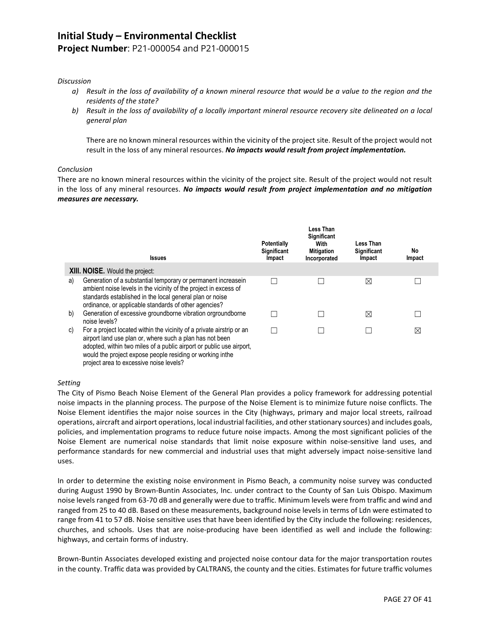## **Project Number**: P21-000054 and P21-000015

#### *Discussion*

- *a) Result in the loss of availability of a known mineral resource that would be a value to the region and the residents of the state?*
- *b) Result in the loss of availability of a locally important mineral resource recovery site delineated on a local general plan*

There are no known mineral resources within the vicinity of the project site. Result of the project would not result in the loss of any mineral resources. *No impacts would result from project implementation.*

#### *Conclusion*

There are no known mineral resources within the vicinity of the project site. Result of the project would not result in the loss of any mineral resources. *No impacts would result from project implementation and no mitigation measures are necessary.*

|    | <b>Issues</b>                                                                                                                                                                                                                                                                                                     | <b>Potentially</b><br>Significant<br>Impact | <b>Less Than</b><br>Significant<br>With<br><b>Mitigation</b><br>Incorporated | Less Than<br>Significant<br>Impact | No<br>Impact |
|----|-------------------------------------------------------------------------------------------------------------------------------------------------------------------------------------------------------------------------------------------------------------------------------------------------------------------|---------------------------------------------|------------------------------------------------------------------------------|------------------------------------|--------------|
|    | <b>XIII. NOISE.</b> Would the project:                                                                                                                                                                                                                                                                            |                                             |                                                                              |                                    |              |
| a) | Generation of a substantial temporary or permanent increasein<br>ambient noise levels in the vicinity of the project in excess of<br>standards established in the local general plan or noise<br>ordinance, or applicable standards of other agencies?                                                            |                                             |                                                                              | ⊠                                  |              |
| b) | Generation of excessive groundborne vibration orgroundborne<br>noise levels?                                                                                                                                                                                                                                      |                                             |                                                                              | ⊠                                  |              |
| C) | For a project located within the vicinity of a private airstrip or an<br>airport land use plan or, where such a plan has not been<br>adopted, within two miles of a public airport or public use airport,<br>would the project expose people residing or working inthe<br>project area to excessive noise levels? |                                             |                                                                              |                                    | ⊠            |

#### *Setting*

The City of Pismo Beach Noise Element of the General Plan provides a policy framework for addressing potential noise impacts in the planning process. The purpose of the Noise Element is to minimize future noise conflicts. The Noise Element identifies the major noise sources in the City (highways, primary and major local streets, railroad operations, aircraft and airport operations, local industrial facilities, and other stationary sources) and includes goals, policies, and implementation programs to reduce future noise impacts. Among the most significant policies of the Noise Element are numerical noise standards that limit noise exposure within noise-sensitive land uses, and performance standards for new commercial and industrial uses that might adversely impact noise-sensitive land uses.

In order to determine the existing noise environment in Pismo Beach, a community noise survey was conducted during August 1990 by Brown-Buntin Associates, Inc. under contract to the County of San Luis Obispo. Maximum noise levels ranged from 63-70 dB and generally were due to traffic. Minimum levels were from traffic and wind and ranged from 25 to 40 dB. Based on these measurements, background noise levels in terms of Ldn were estimated to range from 41 to 57 dB. Noise sensitive uses that have been identified by the City include the following: residences, churches, and schools. Uses that are noise-producing have been identified as well and include the following: highways, and certain forms of industry.

Brown-Buntin Associates developed existing and projected noise contour data for the major transportation routes in the county. Traffic data was provided by CALTRANS, the county and the cities. Estimates for future traffic volumes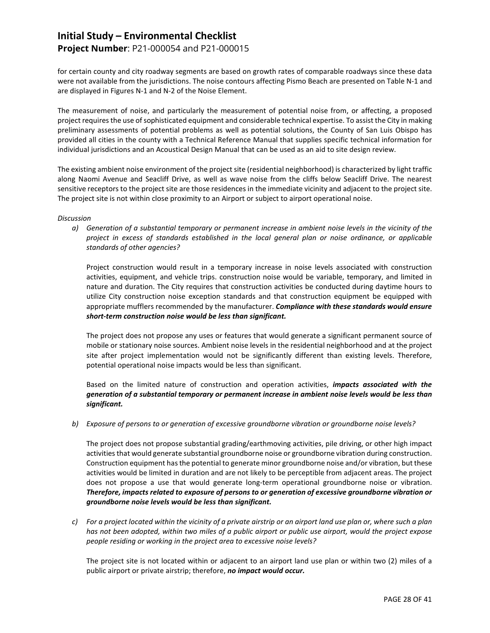## **Project Number**: P21-000054 and P21-000015

for certain county and city roadway segments are based on growth rates of comparable roadways since these data were not available from the jurisdictions. The noise contours affecting Pismo Beach are presented on Table N-1 and are displayed in Figures N-1 and N-2 of the Noise Element.

The measurement of noise, and particularly the measurement of potential noise from, or affecting, a proposed project requires the use of sophisticated equipment and considerable technical expertise. To assist the City in making preliminary assessments of potential problems as well as potential solutions, the County of San Luis Obispo has provided all cities in the county with a Technical Reference Manual that supplies specific technical information for individual jurisdictions and an Acoustical Design Manual that can be used as an aid to site design review.

The existing ambient noise environment of the project site (residential neighborhood) is characterized by light traffic along Naomi Avenue and Seacliff Drive, as well as wave noise from the cliffs below Seacliff Drive. The nearest sensitive receptors to the project site are those residences in the immediate vicinity and adjacent to the project site. The project site is not within close proximity to an Airport or subject to airport operational noise.

#### *Discussion*

*a) Generation of a substantial temporary or permanent increase in ambient noise levels in the vicinity of the project in excess of standards established in the local general plan or noise ordinance, or applicable standards of other agencies?*

Project construction would result in a temporary increase in noise levels associated with construction activities, equipment, and vehicle trips. construction noise would be variable, temporary, and limited in nature and duration. The City requires that construction activities be conducted during daytime hours to utilize City construction noise exception standards and that construction equipment be equipped with appropriate mufflers recommended by the manufacturer. *Compliance with these standards would ensure short-term construction noise would be less than significant.*

The project does not propose any uses or features that would generate a significant permanent source of mobile or stationary noise sources. Ambient noise levels in the residential neighborhood and at the project site after project implementation would not be significantly different than existing levels. Therefore, potential operational noise impacts would be less than significant.

Based on the limited nature of construction and operation activities, *impacts associated with the generation of a substantial temporary or permanent increase in ambient noise levels would be less than significant.*

*b) Exposure of persons to or generation of excessive groundborne vibration or groundborne noise levels?*

The project does not propose substantial grading/earthmoving activities, pile driving, or other high impact activities that would generate substantial groundborne noise or groundborne vibration during construction. Construction equipment has the potential to generate minor groundborne noise and/or vibration, but these activities would be limited in duration and are not likely to be perceptible from adjacent areas. The project does not propose a use that would generate long-term operational groundborne noise or vibration. *Therefore, impacts related to exposure of persons to or generation of excessive groundborne vibration or groundborne noise levels would be less than significant.*

*c) For a project located within the vicinity of a private airstrip or an airport land use plan or, where such a plan has not been adopted, within two miles of a public airport or public use airport, would the project expose people residing or working in the project area to excessive noise levels?*

The project site is not located within or adjacent to an airport land use plan or within two (2) miles of a public airport or private airstrip; therefore, *no impact would occur.*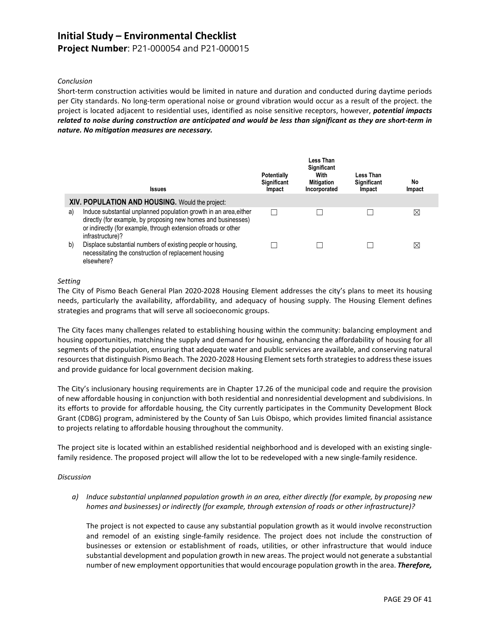### **Project Number**: P21-000054 and P21-000015

#### *Conclusion*

Short-term construction activities would be limited in nature and duration and conducted during daytime periods per City standards. No long-term operational noise or ground vibration would occur as a result of the project. the project is located adjacent to residential uses, identified as noise sensitive receptors, however, *potential impacts related to noise during construction are anticipated and would be less than significant as they are short-term in nature. No mitigation measures are necessary.*

|    | <b>Issues</b>                                                                                                                                                                                                            | <b>Potentially</b><br>Significant<br>Impact | Less Than<br><b>Significant</b><br>With<br><b>Mitigation</b><br>Incorporated | Less Than<br>Significant<br>Impact | No<br>Impact |
|----|--------------------------------------------------------------------------------------------------------------------------------------------------------------------------------------------------------------------------|---------------------------------------------|------------------------------------------------------------------------------|------------------------------------|--------------|
|    | XIV. POPULATION AND HOUSING. Would the project:                                                                                                                                                                          |                                             |                                                                              |                                    |              |
| a) | Induce substantial unplanned population growth in an area, either<br>directly (for example, by proposing new homes and businesses)<br>or indirectly (for example, through extension ofroads or other<br>infrastructure)? | L                                           |                                                                              |                                    | ⊠            |
| b) | Displace substantial numbers of existing people or housing,<br>necessitating the construction of replacement housing<br>elsewhere?                                                                                       |                                             |                                                                              |                                    | ⊠            |

#### *Setting*

The City of Pismo Beach General Plan 2020-2028 Housing Element addresses the city's plans to meet its housing needs, particularly the availability, affordability, and adequacy of housing supply. The Housing Element defines strategies and programs that will serve all socioeconomic groups.

The City faces many challenges related to establishing housing within the community: balancing employment and housing opportunities, matching the supply and demand for housing, enhancing the affordability of housing for all segments of the population, ensuring that adequate water and public services are available, and conserving natural resources that distinguish Pismo Beach. The 2020-2028 Housing Element sets forth strategies to address these issues and provide guidance for local government decision making.

The City's inclusionary housing requirements are in Chapter 17.26 of the municipal code and require the provision of new affordable housing in conjunction with both residential and nonresidential development and subdivisions. In its efforts to provide for affordable housing, the City currently participates in the Community Development Block Grant (CDBG) program, administered by the County of San Luis Obispo, which provides limited financial assistance to projects relating to affordable housing throughout the community.

The project site is located within an established residential neighborhood and is developed with an existing singlefamily residence. The proposed project will allow the lot to be redeveloped with a new single-family residence.

#### *Discussion*

*a) Induce substantial unplanned population growth in an area, either directly (for example, by proposing new homes and businesses) or indirectly (for example, through extension of roads or other infrastructure)?*

The project is not expected to cause any substantial population growth as it would involve reconstruction and remodel of an existing single-family residence. The project does not include the construction of businesses or extension or establishment of roads, utilities, or other infrastructure that would induce substantial development and population growth in new areas. The project would not generate a substantial number of new employment opportunities that would encourage population growth in the area. *Therefore,*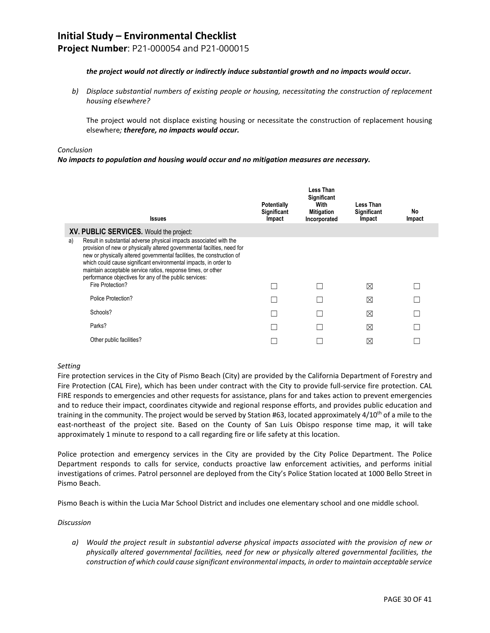**Project Number**: P21-000054 and P21-000015

#### *the project would not directly or indirectly induce substantial growth and no impacts would occur***.**

*b) Displace substantial numbers of existing people or housing, necessitating the construction of replacement housing elsewhere?*

The project would not displace existing housing or necessitate the construction of replacement housing elsewhere*; therefore, no impacts would occur.*

#### *Conclusion*

#### *No impacts to population and housing would occur and no mitigation measures are necessary.*

|    | <b>Issues</b>                                                                                                                                                                                                                                                                                                                                                                                                                             | <b>Potentially</b><br>Significant<br>Impact | Less Than<br><b>Significant</b><br>With<br><b>Mitigation</b><br>Incorporated | Less Than<br><b>Significant</b><br>Impact | No<br>Impact |
|----|-------------------------------------------------------------------------------------------------------------------------------------------------------------------------------------------------------------------------------------------------------------------------------------------------------------------------------------------------------------------------------------------------------------------------------------------|---------------------------------------------|------------------------------------------------------------------------------|-------------------------------------------|--------------|
|    | XV. PUBLIC SERVICES. Would the project:                                                                                                                                                                                                                                                                                                                                                                                                   |                                             |                                                                              |                                           |              |
| a) | Result in substantial adverse physical impacts associated with the<br>provision of new or physically altered governmental facilties, need for<br>new or physically altered governmental facilities, the construction of<br>which could cause significant environmental impacts, in order to<br>maintain acceptable service ratios, response times, or other<br>performance objectives for any of the public services:<br>Fire Protection? |                                             |                                                                              | ⊠                                         |              |
|    | Police Protection?                                                                                                                                                                                                                                                                                                                                                                                                                        |                                             |                                                                              | ⊠                                         |              |
|    | Schools?                                                                                                                                                                                                                                                                                                                                                                                                                                  |                                             |                                                                              | ⊠                                         |              |
|    | Parks?                                                                                                                                                                                                                                                                                                                                                                                                                                    |                                             |                                                                              | ⊠                                         |              |
|    | Other public facilities?                                                                                                                                                                                                                                                                                                                                                                                                                  |                                             |                                                                              | ⊠                                         |              |

#### *Setting*

Fire protection services in the City of Pismo Beach (City) are provided by the California Department of Forestry and Fire Protection (CAL Fire), which has been under contract with the City to provide full-service fire protection. CAL FIRE responds to emergencies and other requests for assistance, plans for and takes action to prevent emergencies and to reduce their impact, coordinates citywide and regional response efforts, and provides public education and training in the community. The project would be served by Station #63, located approximately  $4/10^{th}$  of a mile to the east-northeast of the project site. Based on the County of San Luis Obispo response time map, it will take approximately 1 minute to respond to a call regarding fire or life safety at this location.

Police protection and emergency services in the City are provided by the City Police Department. The Police Department responds to calls for service, conducts proactive law enforcement activities, and performs initial investigations of crimes. Patrol personnel are deployed from the City's Police Station located at 1000 Bello Street in Pismo Beach.

Pismo Beach is within the Lucia Mar School District and includes one elementary school and one middle school.

#### *Discussion*

*a) Would the project result in substantial adverse physical impacts associated with the provision of new or physically altered governmental facilities, need for new or physically altered governmental facilities, the construction of which could cause significant environmental impacts, in order to maintain acceptable service*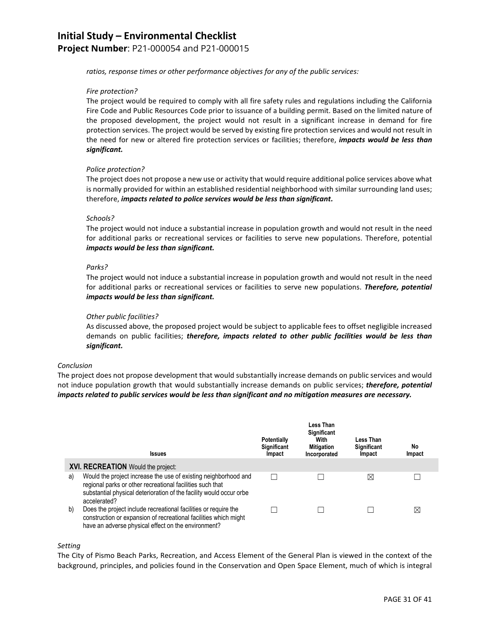**Project Number**: P21-000054 and P21-000015

*ratios, response times or other performance objectives for any of the public services:*

#### *Fire protection?*

The project would be required to comply with all fire safety rules and regulations including the California Fire Code and Public Resources Code prior to issuance of a building permit. Based on the limited nature of the proposed development, the project would not result in a significant increase in demand for fire protection services. The project would be served by existing fire protection services and would not result in the need for new or altered fire protection services or facilities; therefore, *impacts would be less than significant.*

#### *Police protection?*

The project does not propose a new use or activity that would require additional police services above what is normally provided for within an established residential neighborhood with similar surrounding land uses; therefore, *impacts related to police services would be less than significant.*

#### *Schools?*

The project would not induce a substantial increase in population growth and would not result in the need for additional parks or recreational services or facilities to serve new populations. Therefore, potential *impacts would be less than significant.*

#### *Parks?*

The project would not induce a substantial increase in population growth and would not result in the need for additional parks or recreational services or facilities to serve new populations. *Therefore, potential impacts would be less than significant.*

#### *Other public facilities?*

As discussed above, the proposed project would be subject to applicable fees to offset negligible increased demands on public facilities; *therefore, impacts related to other public facilities would be less than significant.*

#### *Conclusion*

The project does not propose development that would substantially increase demands on public services and would not induce population growth that would substantially increase demands on public services; *therefore, potential impacts related to public services would be less than significant and no mitigation measures are necessary.*

|    | <b>Issues</b>                                                                                                                                                                                                       | <b>Potentially</b><br>Significant<br>Impact | Less Than<br><b>Significant</b><br>With<br><b>Mitigation</b><br>Incorporated | Less Than<br>Significant<br>Impact | No<br>Impact |
|----|---------------------------------------------------------------------------------------------------------------------------------------------------------------------------------------------------------------------|---------------------------------------------|------------------------------------------------------------------------------|------------------------------------|--------------|
|    | XVI. RECREATION Would the project:                                                                                                                                                                                  |                                             |                                                                              |                                    |              |
| a) | Would the project increase the use of existing neighborhood and<br>regional parks or other recreational facilities such that<br>substantial physical deterioration of the facility would occur orbe<br>accelerated? |                                             |                                                                              | ⊠                                  |              |
| b) | Does the project include recreational facilities or require the<br>construction or expansion of recreational facilities which might<br>have an adverse physical effect on the environment?                          |                                             |                                                                              |                                    | $\boxtimes$  |

#### *Setting*

The City of Pismo Beach Parks, Recreation, and Access Element of the General Plan is viewed in the context of the background, principles, and policies found in the Conservation and Open Space Element, much of which is integral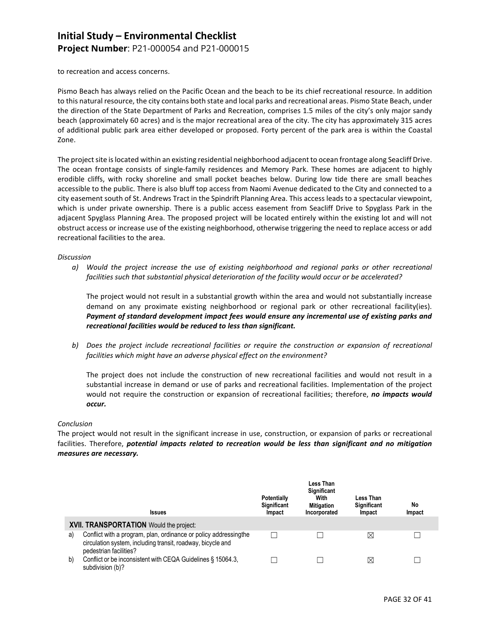**Project Number**: P21-000054 and P21-000015

to recreation and access concerns.

Pismo Beach has always relied on the Pacific Ocean and the beach to be its chief recreational resource. In addition to this natural resource, the city contains both state and local parks and recreational areas. Pismo State Beach, under the direction of the State Department of Parks and Recreation, comprises 1.5 miles of the city's only major sandy beach (approximately 60 acres) and is the major recreational area of the city. The city has approximately 315 acres of additional public park area either developed or proposed. Forty percent of the park area is within the Coastal Zone.

The project site is located within an existing residential neighborhood adjacent to ocean frontage along Seacliff Drive. The ocean frontage consists of single-family residences and Memory Park. These homes are adjacent to highly erodible cliffs, with rocky shoreline and small pocket beaches below. During low tide there are small beaches accessible to the public. There is also bluff top access from Naomi Avenue dedicated to the City and connected to a city easement south of St. Andrews Tract in the Spindrift Planning Area. This access leads to a spectacular viewpoint, which is under private ownership. There is a public access easement from Seacliff Drive to Spyglass Park in the adjacent Spyglass Planning Area. The proposed project will be located entirely within the existing lot and will not obstruct access or increase use of the existing neighborhood, otherwise triggering the need to replace access or add recreational facilities to the area.

#### *Discussion*

*a) Would the project increase the use of existing neighborhood and regional parks or other recreational facilities such that substantial physical deterioration of the facility would occur or be accelerated?*

The project would not result in a substantial growth within the area and would not substantially increase demand on any proximate existing neighborhood or regional park or other recreational facility(ies). *Payment of standard development impact fees would ensure any incremental use of existing parks and recreational facilities would be reduced to less than significant.*

*b) Does the project include recreational facilities or require the construction or expansion of recreational facilities which might have an adverse physical effect on the environment?*

The project does not include the construction of new recreational facilities and would not result in a substantial increase in demand or use of parks and recreational facilities. Implementation of the project would not require the construction or expansion of recreational facilities; therefore, *no impacts would occur.*

#### *Conclusion*

The project would not result in the significant increase in use, construction, or expansion of parks or recreational facilities. Therefore, *potential impacts related to recreation would be less than significant and no mitigation measures are necessary.*

|    | <b>Issues</b>                                                                                                                                              | <b>Potentially</b><br>Significant<br>Impact | Less Than<br><b>Significant</b><br>With<br><b>Mitigation</b><br>Incorporated | Less Than<br><b>Significant</b><br><b>Impact</b> | No<br>Impact |
|----|------------------------------------------------------------------------------------------------------------------------------------------------------------|---------------------------------------------|------------------------------------------------------------------------------|--------------------------------------------------|--------------|
|    | XVII. TRANSPORTATION Would the project:                                                                                                                    |                                             |                                                                              |                                                  |              |
| a) | Conflict with a program, plan, ordinance or policy addressing the<br>circulation system, including transit, roadway, bicycle and<br>pedestrian facilities? |                                             |                                                                              | $\boxtimes$                                      |              |
| b) | Conflict or be inconsistent with CEQA Guidelines § 15064.3,<br>subdivision (b)?                                                                            |                                             |                                                                              | $\boxtimes$                                      |              |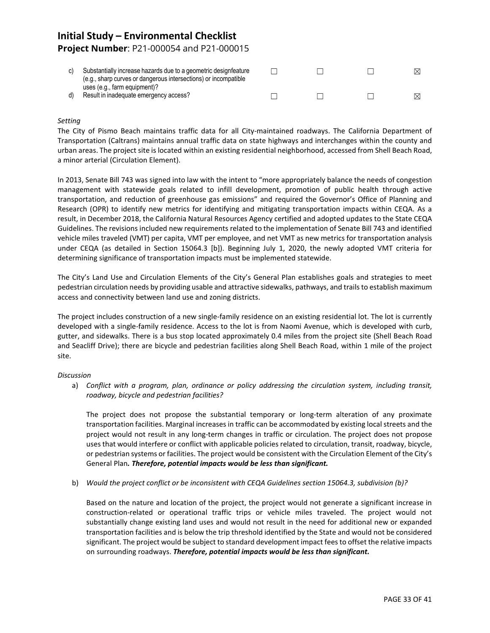## **Initial Study – Environmental Checklist Project Number**: P21-000054 and P21-000015

| Substantially increase hazards due to a geometric designfeature<br>(e.g., sharp curves or dangerous intersections) or incompatible |  | $\bowtie$ |
|------------------------------------------------------------------------------------------------------------------------------------|--|-----------|
| uses (e.g., farm equipment)?<br>Result in inadequate emergency access?                                                             |  | M         |

#### *Setting*

The City of Pismo Beach maintains traffic data for all City-maintained roadways. The California Department of Transportation (Caltrans) maintains annual traffic data on state highways and interchanges within the county and urban areas. The project site is located within an existing residential neighborhood, accessed from Shell Beach Road, a minor arterial (Circulation Element).

In 2013, Senate Bill 743 was signed into law with the intent to "more appropriately balance the needs of congestion management with statewide goals related to infill development, promotion of public health through active transportation, and reduction of greenhouse gas emissions" and required the Governor's Office of Planning and Research (OPR) to identify new metrics for identifying and mitigating transportation impacts within CEQA. As a result, in December 2018, the California Natural Resources Agency certified and adopted updates to the State CEQA Guidelines. The revisions included new requirements related to the implementation of Senate Bill 743 and identified vehicle miles traveled (VMT) per capita, VMT per employee, and net VMT as new metrics for transportation analysis under CEQA (as detailed in Section 15064.3 [b]). Beginning July 1, 2020, the newly adopted VMT criteria for determining significance of transportation impacts must be implemented statewide.

The City's Land Use and Circulation Elements of the City's General Plan establishes goals and strategies to meet pedestrian circulation needs by providing usable and attractive sidewalks, pathways, and trails to establish maximum access and connectivity between land use and zoning districts.

The project includes construction of a new single-family residence on an existing residential lot. The lot is currently developed with a single-family residence. Access to the lot is from Naomi Avenue, which is developed with curb, gutter, and sidewalks. There is a bus stop located approximately 0.4 miles from the project site (Shell Beach Road and Seacliff Drive); there are bicycle and pedestrian facilities along Shell Beach Road, within 1 mile of the project site.

#### *Discussion*

a) *Conflict with a program, plan, ordinance or policy addressing the circulation system, including transit, roadway, bicycle and pedestrian facilities?*

The project does not propose the substantial temporary or long-term alteration of any proximate transportation facilities. Marginal increases in traffic can be accommodated by existing local streets and the project would not result in any long-term changes in traffic or circulation. The project does not propose uses that would interfere or conflict with applicable policies related to circulation, transit, roadway, bicycle, or pedestrian systems or facilities. The project would be consistent with the Circulation Element of the City's General Plan*. Therefore, potential impacts would be less than significant.*

b) *Would the project conflict or be inconsistent with CEQA Guidelines section 15064.3, subdivision (b)?*

Based on the nature and location of the project, the project would not generate a significant increase in construction-related or operational traffic trips or vehicle miles traveled. The project would not substantially change existing land uses and would not result in the need for additional new or expanded transportation facilities and is below the trip threshold identified by the State and would not be considered significant. The project would be subject to standard development impact fees to offset the relative impacts on surrounding roadways. *Therefore, potential impacts would be less than significant.*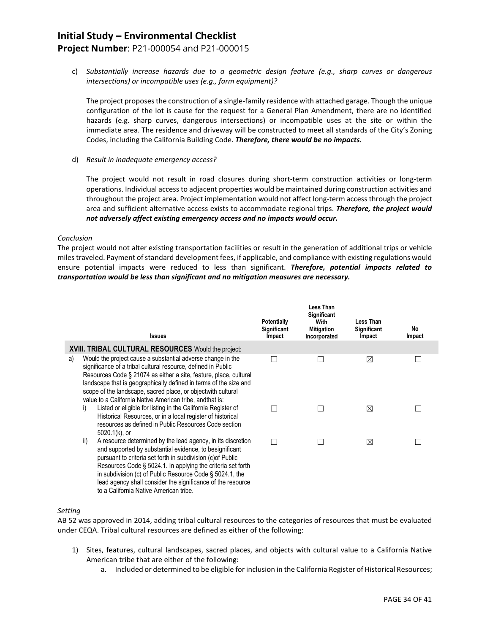## **Project Number**: P21-000054 and P21-000015

c) *Substantially increase hazards due to a geometric design feature (e.g., sharp curves or dangerous intersections) or incompatible uses (e.g., farm equipment)?*

The project proposes the construction of a single-family residence with attached garage. Though the unique configuration of the lot is cause for the request for a General Plan Amendment, there are no identified hazards (e.g. sharp curves, dangerous intersections) or incompatible uses at the site or within the immediate area. The residence and driveway will be constructed to meet all standards of the City's Zoning Codes, including the California Building Code. *Therefore, there would be no impacts.*

d) *Result in inadequate emergency access?*

The project would not result in road closures during short-term construction activities or long-term operations. Individual access to adjacent properties would be maintained during construction activities and throughout the project area. Project implementation would not affect long-term access through the project area and sufficient alternative access exists to accommodate regional trips. *Therefore, the project would not adversely affect existing emergency access and no impacts would occur.*

#### *Conclusion*

The project would not alter existing transportation facilities or result in the generation of additional trips or vehicle miles traveled. Payment of standard development fees, if applicable, and compliance with existing regulations would ensure potential impacts were reduced to less than significant. *Therefore, potential impacts related to transportation would be less than significant and no mitigation measures are necessary.*

|    | <b>Issues</b>                                                                                                                                                                                                                                                                                                                                                                                                                      | <b>Potentially</b><br>Significant<br>Impact | Less Than<br>Significant<br>With<br><b>Mitigation</b><br>Incorporated | Less Than<br>Significant<br>Impact | No<br>Impact |
|----|------------------------------------------------------------------------------------------------------------------------------------------------------------------------------------------------------------------------------------------------------------------------------------------------------------------------------------------------------------------------------------------------------------------------------------|---------------------------------------------|-----------------------------------------------------------------------|------------------------------------|--------------|
|    | <b>XVIII. TRIBAL CULTURAL RESOURCES</b> Would the project:                                                                                                                                                                                                                                                                                                                                                                         |                                             |                                                                       |                                    |              |
| a) | Would the project cause a substantial adverse change in the<br>significance of a tribal cultural resource, defined in Public<br>Resources Code § 21074 as either a site, feature, place, cultural<br>landscape that is geographically defined in terms of the size and<br>scope of the landscape, sacred place, or objectwith cultural<br>value to a California Native American tribe, and that is:                                |                                             |                                                                       | ⊠                                  |              |
|    | Listed or eligible for listing in the California Register of<br>i)<br>Historical Resources, or in a local register of historical<br>resources as defined in Public Resources Code section<br>5020.1(k), or                                                                                                                                                                                                                         |                                             |                                                                       | ⊠                                  |              |
|    | ii)<br>A resource determined by the lead agency, in its discretion<br>and supported by substantial evidence, to besignificant<br>pursuant to criteria set forth in subdivision (c) of Public<br>Resources Code § 5024.1. In applying the criteria set forth<br>in subdivision (c) of Public Resource Code $\S$ 5024.1, the<br>lead agency shall consider the significance of the resource<br>to a California Native American tribe |                                             |                                                                       | ⊠                                  |              |

#### *Setting*

AB 52 was approved in 2014, adding tribal cultural resources to the categories of resources that must be evaluated under CEQA. Tribal cultural resources are defined as either of the following:

- 1) Sites, features, cultural landscapes, sacred places, and objects with cultural value to a California Native American tribe that are either of the following:
	- a. Included or determined to be eligible for inclusion in the California Register of Historical Resources;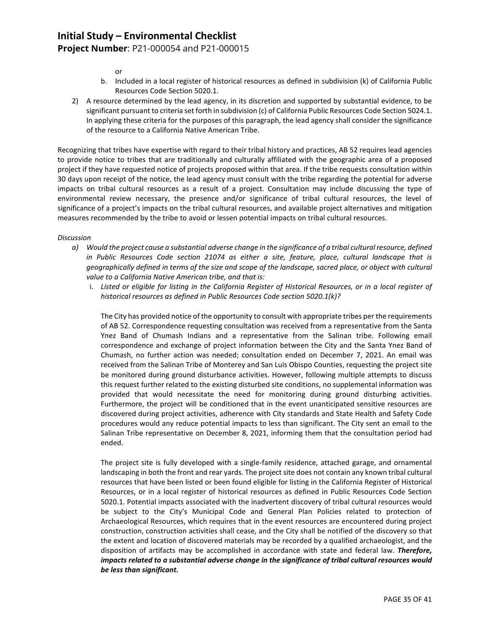## **Project Number**: P21-000054 and P21-000015

or

- b. Included in a local register of historical resources as defined in subdivision (k) of California Public Resources Code Section 5020.1.
- 2) A resource determined by the lead agency, in its discretion and supported by substantial evidence, to be significant pursuant to criteria set forth in subdivision (c) of California Public Resources Code Section 5024.1. In applying these criteria for the purposes of this paragraph, the lead agency shall consider the significance of the resource to a California Native American Tribe.

Recognizing that tribes have expertise with regard to their tribal history and practices, AB 52 requires lead agencies to provide notice to tribes that are traditionally and culturally affiliated with the geographic area of a proposed project if they have requested notice of projects proposed within that area. If the tribe requests consultation within 30 days upon receipt of the notice, the lead agency must consult with the tribe regarding the potential for adverse impacts on tribal cultural resources as a result of a project. Consultation may include discussing the type of environmental review necessary, the presence and/or significance of tribal cultural resources, the level of significance of a project's impacts on the tribal cultural resources, and available project alternatives and mitigation measures recommended by the tribe to avoid or lessen potential impacts on tribal cultural resources.

#### *Discussion*

- *a) Would the project cause a substantial adverse change in the significance of a tribal cultural resource, defined in Public Resources Code section 21074 as either a site, feature, place, cultural landscape that is geographically defined in terms of the size and scope of the landscape, sacred place, or object with cultural value to a California Native American tribe, and that is:*
	- i. *Listed or eligible for listing in the California Register of Historical Resources, or in a local register of historical resources as defined in Public Resources Code section 5020.1(k)?*

The City has provided notice of the opportunity to consult with appropriate tribes per the requirements of AB 52. Correspondence requesting consultation was received from a representative from the Santa Ynez Band of Chumash Indians and a representative from the Salinan tribe. Following email correspondence and exchange of project information between the City and the Santa Ynez Band of Chumash, no further action was needed; consultation ended on December 7, 2021. An email was received from the Salinan Tribe of Monterey and San Luis Obispo Counties, requesting the project site be monitored during ground disturbance activities. However, following multiple attempts to discuss this request further related to the existing disturbed site conditions, no supplemental information was provided that would necessitate the need for monitoring during ground disturbing activities. Furthermore, the project will be conditioned that in the event unanticipated sensitive resources are discovered during project activities, adherence with City standards and State Health and Safety Code procedures would any reduce potential impacts to less than significant. The City sent an email to the Salinan Tribe representative on December 8, 2021, informing them that the consultation period had ended.

The project site is fully developed with a single-family residence, attached garage, and ornamental landscaping in both the front and rear yards. The project site does not contain any known tribal cultural resources that have been listed or been found eligible for listing in the California Register of Historical Resources, or in a local register of historical resources as defined in Public Resources Code Section 5020.1. Potential impacts associated with the inadvertent discovery of tribal cultural resources would be subject to the City's Municipal Code and General Plan Policies related to protection of Archaeological Resources, which requires that in the event resources are encountered during project construction, construction activities shall cease, and the City shall be notified of the discovery so that the extent and location of discovered materials may be recorded by a qualified archaeologist, and the disposition of artifacts may be accomplished in accordance with state and federal law. *Therefore, impacts related to a substantial adverse change in the significance of tribal cultural resources would be less than significant.*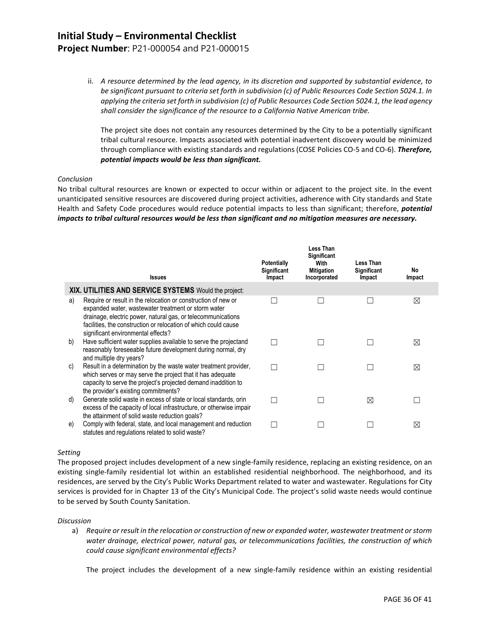## **Project Number**: P21-000054 and P21-000015

ii. *A resource determined by the lead agency, in its discretion and supported by substantial evidence, to be significant pursuant to criteria set forth in subdivision (c) of Public Resources Code Section 5024.1. In applying the criteria set forth in subdivision (c) of Public Resources Code Section 5024.1, the lead agency shall consider the significance of the resource to a California Native American tribe.*

The project site does not contain any resources determined by the City to be a potentially significant tribal cultural resource. Impacts associated with potential inadvertent discovery would be minimized through compliance with existing standards and regulations (COSE Policies CO-5 and CO-6). *Therefore, potential impacts would be less than significant.*

#### *Conclusion*

No tribal cultural resources are known or expected to occur within or adjacent to the project site. In the event unanticipated sensitive resources are discovered during project activities, adherence with City standards and State Health and Safety Code procedures would reduce potential impacts to less than significant; therefore, *potential impacts to tribal cultural resources would be less than significant and no mitigation measures are necessary.*

|    | <b>Issues</b>                                                                                                                                                                                                                                                                                 | <b>Potentially</b><br>Significant<br>Impact | <b>Less Than</b><br>Significant<br>With<br><b>Mitigation</b><br>Incorporated | Less Than<br>Significant<br>Impact | No<br>Impact |
|----|-----------------------------------------------------------------------------------------------------------------------------------------------------------------------------------------------------------------------------------------------------------------------------------------------|---------------------------------------------|------------------------------------------------------------------------------|------------------------------------|--------------|
|    | XIX. UTILITIES AND SERVICE SYSTEMS Would the project:                                                                                                                                                                                                                                         |                                             |                                                                              |                                    |              |
| a) | Require or result in the relocation or construction of new or<br>expanded water, wastewater treatment or storm water<br>drainage, electric power, natural gas, or telecommunications<br>facilities, the construction or relocation of which could cause<br>significant environmental effects? |                                             |                                                                              |                                    | ⊠            |
| b) | Have sufficient water supplies available to serve the projectand<br>reasonably foreseeable future development during normal, dry<br>and multiple dry years?                                                                                                                                   |                                             |                                                                              |                                    | $\bowtie$    |
| C) | Result in a determination by the waste water treatment provider,<br>which serves or may serve the project that it has adequate<br>capacity to serve the project's projected demand inaddition to<br>the provider's existing commitments?                                                      |                                             |                                                                              |                                    | ⊠            |
| d) | Generate solid waste in excess of state or local standards, orin<br>excess of the capacity of local infrastructure, or otherwise impair<br>the attainment of solid waste reduction goals?                                                                                                     |                                             |                                                                              | ⊠                                  |              |
| e) | Comply with federal, state, and local management and reduction<br>statutes and regulations related to solid waste?                                                                                                                                                                            |                                             |                                                                              |                                    | $\bowtie$    |

#### *Setting*

The proposed project includes development of a new single-family residence, replacing an existing residence, on an existing single-family residential lot within an established residential neighborhood. The neighborhood, and its residences, are served by the City's Public Works Department related to water and wastewater. Regulations for City services is provided for in Chapter 13 of the City's Municipal Code. The project's solid waste needs would continue to be served by South County Sanitation.

#### *Discussion*

a) *Require or result in the relocation or construction of new or expanded water, wastewater treatment or storm water drainage, electrical power, natural gas, or telecommunications facilities, the construction of which could cause significant environmental effects?*

The project includes the development of a new single-family residence within an existing residential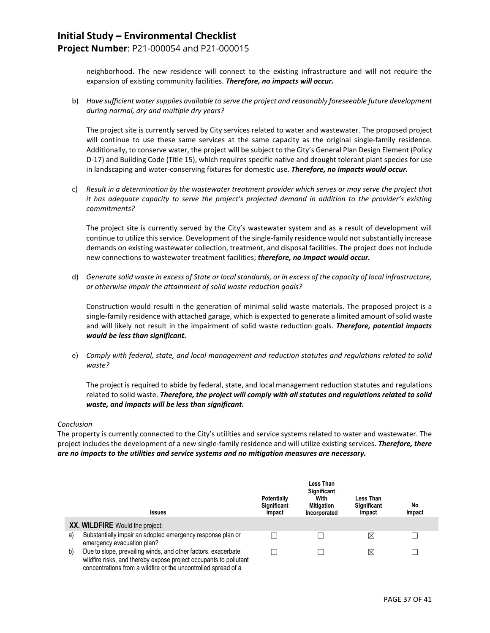## **Project Number**: P21-000054 and P21-000015

neighborhood. The new residence will connect to the existing infrastructure and will not require the expansion of existing community facilities. *Therefore, no impacts will occur.*

b) *Have sufficient water supplies available to serve the project and reasonably foreseeable future development during normal, dry and multiple dry years?*

The project site is currently served by City services related to water and wastewater. The proposed project will continue to use these same services at the same capacity as the original single-family residence. Additionally, to conserve water, the project will be subject to the City's General Plan Design Element (Policy D-17) and Building Code (Title 15), which requires specific native and drought tolerant plant species for use in landscaping and water-conserving fixtures for domestic use. *Therefore, no impacts would occur.*

c) *Result in a determination by the wastewater treatment provider which serves or may serve the project that it has adequate capacity to serve the project's projected demand in addition to the provider's existing commitments?*

The project site is currently served by the City's wastewater system and as a result of development will continue to utilize this service. Development of the single-family residence would not substantially increase demands on existing wastewater collection, treatment, and disposal facilities. The project does not include new connections to wastewater treatment facilities; *therefore, no impact would occur.*

d) *Generate solid waste in excess of State or local standards, or in excess of the capacity of local infrastructure, or otherwise impair the attainment of solid waste reduction goals?*

Construction would resulti n the generation of minimal solid waste materials. The proposed project is a single-family residence with attached garage, which is expected to generate a limited amount of solid waste and will likely not result in the impairment of solid waste reduction goals. *Therefore, potential impacts would be less than significant.*

e) *Comply with federal, state, and local management and reduction statutes and regulations related to solid waste?*

The project is required to abide by federal, state, and local management reduction statutes and regulations related to solid waste. *Therefore, the project will comply with all statutes and regulations related to solid waste, and impacts will be less than significant.*

#### *Conclusion*

The property is currently connected to the City's utilities and service systems related to water and wastewater. The project includes the development of a new single-family residence and will utilize existing services. *Therefore, there are no impacts to the utilities and service systems and no mitigation measures are necessary.*

|    | <b>Issues</b>                                                                                                                                                                                        | <b>Potentially</b><br>Significant<br>Impact | Less Than<br><b>Significant</b><br>With<br><b>Mitigation</b><br>Incorporated | Less Than<br>Significant<br>Impact | No<br>Impact |
|----|------------------------------------------------------------------------------------------------------------------------------------------------------------------------------------------------------|---------------------------------------------|------------------------------------------------------------------------------|------------------------------------|--------------|
|    | XX. WILDFIRE Would the project:                                                                                                                                                                      |                                             |                                                                              |                                    |              |
| a) | Substantially impair an adopted emergency response plan or<br>emergency evacuation plan?                                                                                                             |                                             |                                                                              | ⊠                                  |              |
| b) | Due to slope, prevailing winds, and other factors, exacerbate<br>wildfire risks, and thereby expose project occupants to pollutant<br>concentrations from a wildfire or the uncontrolled spread of a |                                             |                                                                              | ⊠                                  |              |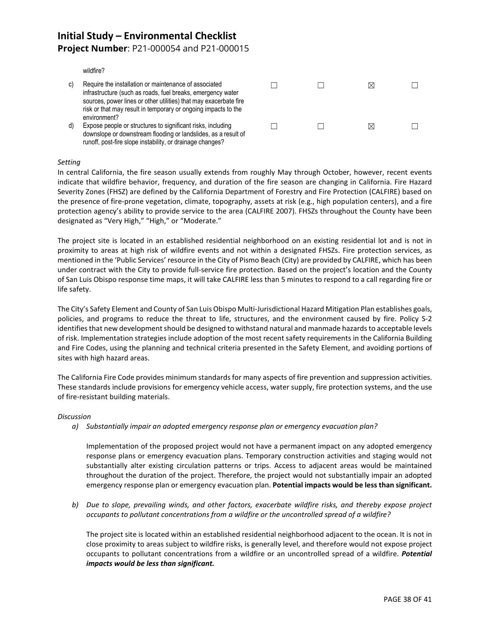## **Project Number**: P21-000054 and P21-000015

wildfire?

| C) | Require the installation or maintenance of associated<br>infrastructure (such as roads, fuel breaks, emergency water<br>sources, power lines or other utilities) that may exacerbate fire<br>risk or that may result in temporary or ongoing impacts to the<br>environment? |  | ⋉         |  |
|----|-----------------------------------------------------------------------------------------------------------------------------------------------------------------------------------------------------------------------------------------------------------------------------|--|-----------|--|
| d) | Expose people or structures to significant risks, including<br>downslope or downstream flooding or landslides, as a result of<br>runoff, post-fire slope instability, or drainage changes?                                                                                  |  | $\bowtie$ |  |

#### *Setting*

In central California, the fire season usually extends from roughly May through October, however, recent events indicate that wildfire behavior, frequency, and duration of the fire season are changing in California. Fire Hazard Severity Zones (FHSZ) are defined by the California Department of Forestry and Fire Protection (CALFIRE) based on the presence of fire-prone vegetation, climate, topography, assets at risk (e.g., high population centers), and a fire protection agency's ability to provide service to the area (CALFIRE 2007). FHSZs throughout the County have been designated as "Very High," "High," or "Moderate."

The project site is located in an established residential neighborhood on an existing residential lot and is not in proximity to areas at high risk of wildfire events and not within a designated FHSZs. Fire protection services, as mentioned in the 'Public Services' resource in the City of Pismo Beach (City) are provided by CALFIRE, which has been under contract with the City to provide full-service fire protection. Based on the project's location and the County of San Luis Obispo response time maps, it will take CALFIRE less than 5 minutes to respond to a call regarding fire or life safety.

The City's Safety Element and County of San Luis Obispo Multi-Jurisdictional Hazard Mitigation Plan establishes goals, policies, and programs to reduce the threat to life, structures, and the environment caused by fire. Policy S-2 identifies that new development should be designed to withstand natural and manmade hazards to acceptable levels of risk. Implementation strategies include adoption of the most recent safety requirements in the California Building and Fire Codes, using the planning and technical criteria presented in the Safety Element, and avoiding portions of sites with high hazard areas.

The California Fire Code provides minimum standards for many aspects of fire prevention and suppression activities. These standards include provisions for emergency vehicle access, water supply, fire protection systems, and the use of fire-resistant building materials.

#### *Discussion*

*a) Substantially impair an adopted emergency response plan or emergency evacuation plan?*

Implementation of the proposed project would not have a permanent impact on any adopted emergency response plans or emergency evacuation plans. Temporary construction activities and staging would not substantially alter existing circulation patterns or trips. Access to adjacent areas would be maintained throughout the duration of the project. Therefore, the project would not substantially impair an adopted emergency response plan or emergency evacuation plan. **Potential impacts would be less than significant.**

*b) Due to slope, prevailing winds, and other factors, exacerbate wildfire risks, and thereby expose project occupants to pollutant concentrations from a wildfire or the uncontrolled spread of a wildfire?*

The project site is located within an established residential neighborhood adjacent to the ocean. It is not in close proximity to areas subject to wildfire risks, is generally level, and therefore would not expose project occupants to pollutant concentrations from a wildfire or an uncontrolled spread of a wildfire. *Potential impacts would be less than significant.*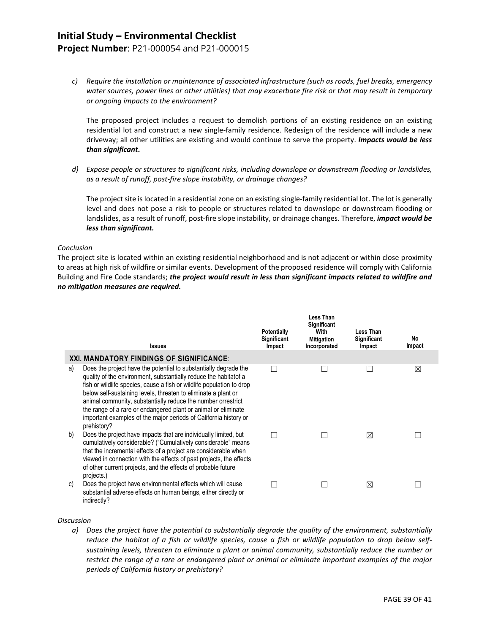**Project Number**: P21-000054 and P21-000015

*c) Require the installation or maintenance of associated infrastructure (such as roads, fuel breaks, emergency water sources, power lines or other utilities) that may exacerbate fire risk or that may result in temporary or ongoing impacts to the environment?*

The proposed project includes a request to demolish portions of an existing residence on an existing residential lot and construct a new single-family residence. Redesign of the residence will include a new driveway; all other utilities are existing and would continue to serve the property. *Impacts would be less than significant.*

*d) Expose people or structures to significant risks, including downslope or downstream flooding or landslides, as a result of runoff, post-fire slope instability, or drainage changes?*

The project site is located in a residential zone on an existing single-family residential lot. The lot is generally level and does not pose a risk to people or structures related to downslope or downstream flooding or landslides, as a result of runoff, post-fire slope instability, or drainage changes. Therefore, *impact would be less than significant.*

#### *Conclusion*

The project site is located within an existing residential neighborhood and is not adjacent or within close proximity to areas at high risk of wildfire or similar events. Development of the proposed residence will comply with California Building and Fire Code standards; *the project would result in less than significant impacts related to wildfire and no mitigation measures are required.*

|    | <b>Issues</b>                                                                                                                                                                                                                                                                                                                                                                                                                                                                                        | <b>Potentially</b><br>Significant<br>Impact | <b>Less Than</b><br>Significant<br>With<br><b>Mitigation</b><br>Incorporated | Less Than<br><b>Significant</b><br>Impact | No<br>Impact |
|----|------------------------------------------------------------------------------------------------------------------------------------------------------------------------------------------------------------------------------------------------------------------------------------------------------------------------------------------------------------------------------------------------------------------------------------------------------------------------------------------------------|---------------------------------------------|------------------------------------------------------------------------------|-------------------------------------------|--------------|
|    | XXI. MANDATORY FINDINGS OF SIGNIFICANCE:                                                                                                                                                                                                                                                                                                                                                                                                                                                             |                                             |                                                                              |                                           |              |
| a) | Does the project have the potential to substantially degrade the<br>quality of the environment, substantially reduce the habitatof a<br>fish or wildlife species, cause a fish or wildlife population to drop<br>below self-sustaining levels, threaten to eliminate a plant or<br>animal community, substantially reduce the number orrestrict<br>the range of a rare or endangered plant or animal or eliminate<br>important examples of the major periods of California history or<br>prehistory? |                                             |                                                                              |                                           | $\boxtimes$  |
| b) | Does the project have impacts that are individually limited, but<br>cumulatively considerable? ("Cumulatively considerable" means<br>that the incremental effects of a project are considerable when<br>viewed in connection with the effects of past projects, the effects<br>of other current projects, and the effects of probable future<br>projects.)                                                                                                                                           |                                             |                                                                              | ⊠                                         |              |
| C) | Does the project have environmental effects which will cause<br>substantial adverse effects on human beings, either directly or<br>indirectly?                                                                                                                                                                                                                                                                                                                                                       |                                             |                                                                              | ⊠                                         |              |

#### *Discussion*

*a) Does the project have the potential to substantially degrade the quality of the environment, substantially reduce the habitat of a fish or wildlife species, cause a fish or wildlife population to drop below selfsustaining levels, threaten to eliminate a plant or animal community, substantially reduce the number or restrict the range of a rare or endangered plant or animal or eliminate important examples of the major periods of California history or prehistory?*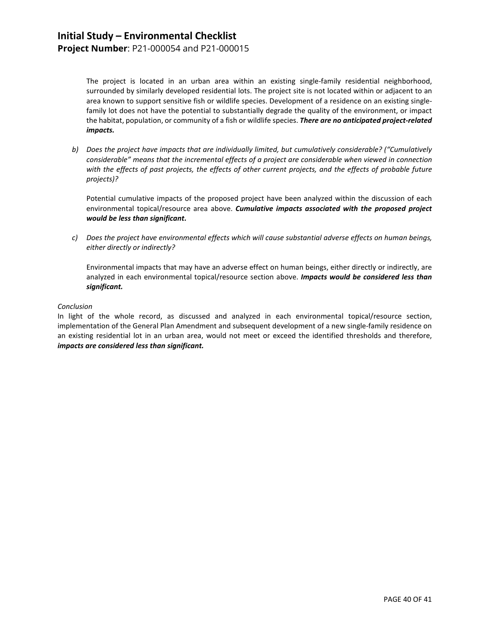The project is located in an urban area within an existing single-family residential neighborhood, surrounded by similarly developed residential lots. The project site is not located within or adjacent to an area known to support sensitive fish or wildlife species. Development of a residence on an existing singlefamily lot does not have the potential to substantially degrade the quality of the environment, or impact the habitat, population, or community of a fish or wildlife species. *There are no anticipated project-related impacts.* 

*b) Does the project have impacts that are individually limited, but cumulatively considerable? ("Cumulatively considerable" means that the incremental effects of a project are considerable when viewed in connection with the effects of past projects, the effects of other current projects, and the effects of probable future projects)?*

Potential cumulative impacts of the proposed project have been analyzed within the discussion of each environmental topical/resource area above. *Cumulative impacts associated with the proposed project would be less than significant.* 

*c) Does the project have environmental effects which will cause substantial adverse effects on human beings, either directly or indirectly?*

Environmental impacts that may have an adverse effect on human beings, either directly or indirectly, are analyzed in each environmental topical/resource section above. *Impacts would be considered less than significant.*

#### *Conclusion*

In light of the whole record, as discussed and analyzed in each environmental topical/resource section, implementation of the General Plan Amendment and subsequent development of a new single-family residence on an existing residential lot in an urban area, would not meet or exceed the identified thresholds and therefore, *impacts are considered less than significant.*